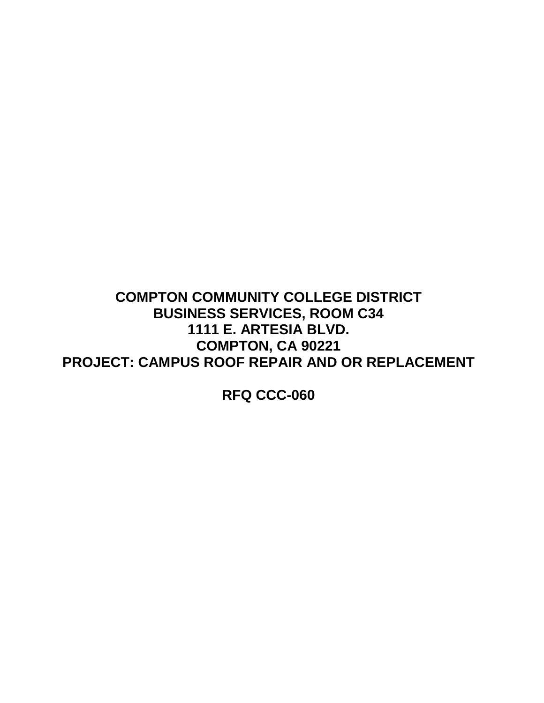# **COMPTON COMMUNITY COLLEGE DISTRICT BUSINESS SERVICES, ROOM C34 1111 E. ARTESIA BLVD. COMPTON, CA 90221 PROJECT: CAMPUS ROOF REPAIR AND OR REPLACEMENT**

**RFQ CCC-060**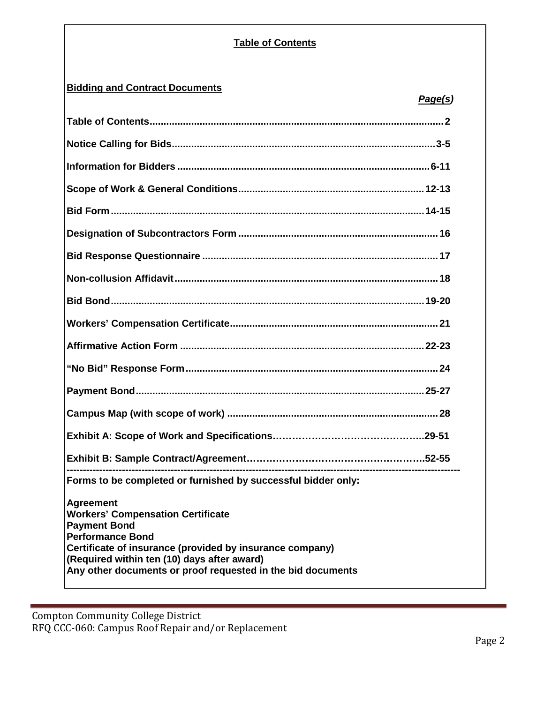## **Table of Contents**

## **Bidding and Contract Documents**

| Forms to be completed or furnished by successful bidder only:                                                                                                                                                                                                                            |
|------------------------------------------------------------------------------------------------------------------------------------------------------------------------------------------------------------------------------------------------------------------------------------------|
| <b>Agreement</b><br><b>Workers' Compensation Certificate</b><br><b>Payment Bond</b><br><b>Performance Bond</b><br>Certificate of insurance (provided by insurance company)<br>(Required within ten (10) days after award)<br>Any other documents or proof requested in the bid documents |

Compton Community College District RFQ CCC-060: Campus Roof Repair and/or Replacement  *Page(s)*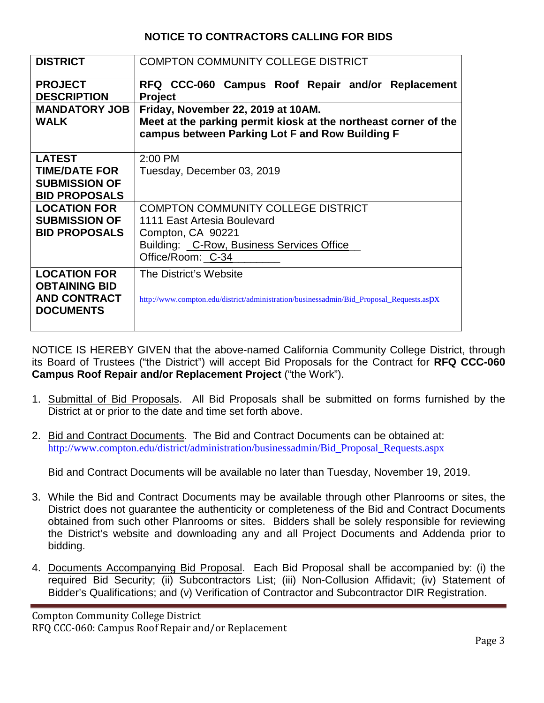## **NOTICE TO CONTRACTORS CALLING FOR BIDS**

| <b>DISTRICT</b>                                                                        | <b>COMPTON COMMUNITY COLLEGE DISTRICT</b>                                                                                                                        |
|----------------------------------------------------------------------------------------|------------------------------------------------------------------------------------------------------------------------------------------------------------------|
| <b>PROJECT</b><br><b>DESCRIPTION</b>                                                   | RFQ CCC-060 Campus Roof Repair and/or Replacement<br><b>Project</b>                                                                                              |
| <b>MANDATORY JOB</b><br><b>WALK</b>                                                    | Friday, November 22, 2019 at 10AM.<br>Meet at the parking permit kiosk at the northeast corner of the<br>campus between Parking Lot F and Row Building F         |
| <b>LATEST</b><br><b>TIME/DATE FOR</b><br><b>SUBMISSION OF</b><br><b>BID PROPOSALS</b>  | $2:00$ PM<br>Tuesday, December 03, 2019                                                                                                                          |
| <b>LOCATION FOR</b><br><b>SUBMISSION OF</b><br><b>BID PROPOSALS</b>                    | <b>COMPTON COMMUNITY COLLEGE DISTRICT</b><br>1111 East Artesia Boulevard<br>Compton, CA 90221<br>Building: _C-Row, Business Services Office<br>Office/Room: C-34 |
| <b>LOCATION FOR</b><br><b>OBTAINING BID</b><br><b>AND CONTRACT</b><br><b>DOCUMENTS</b> | The District's Website<br>http://www.compton.edu/district/administration/businessadmin/Bid Proposal Requests.aspx                                                |

NOTICE IS HEREBY GIVEN that the above-named California Community College District, through its Board of Trustees ("the District") will accept Bid Proposals for the Contract for **RFQ CCC-060 Campus Roof Repair and/or Replacement Project** ("the Work").

- 1. Submittal of Bid Proposals. All Bid Proposals shall be submitted on forms furnished by the District at or prior to the date and time set forth above.
- 2. Bid and Contract Documents. The Bid and Contract Documents can be obtained at: [http://www.compton.edu/district/administration/businessadmin/Bid\\_Proposal\\_Requests.aspx](http://www.compton.edu/district/administration/businessadmin/Bid_Proposal_Requests.aspx)

Bid and Contract Documents will be available no later than Tuesday, November 19, 2019.

- 3. While the Bid and Contract Documents may be available through other Planrooms or sites, the District does not guarantee the authenticity or completeness of the Bid and Contract Documents obtained from such other Planrooms or sites. Bidders shall be solely responsible for reviewing the District's website and downloading any and all Project Documents and Addenda prior to bidding.
- 4. Documents Accompanying Bid Proposal. Each Bid Proposal shall be accompanied by: (i) the required Bid Security; (ii) Subcontractors List; (iii) Non-Collusion Affidavit; (iv) Statement of Bidder's Qualifications; and (v) Verification of Contractor and Subcontractor DIR Registration.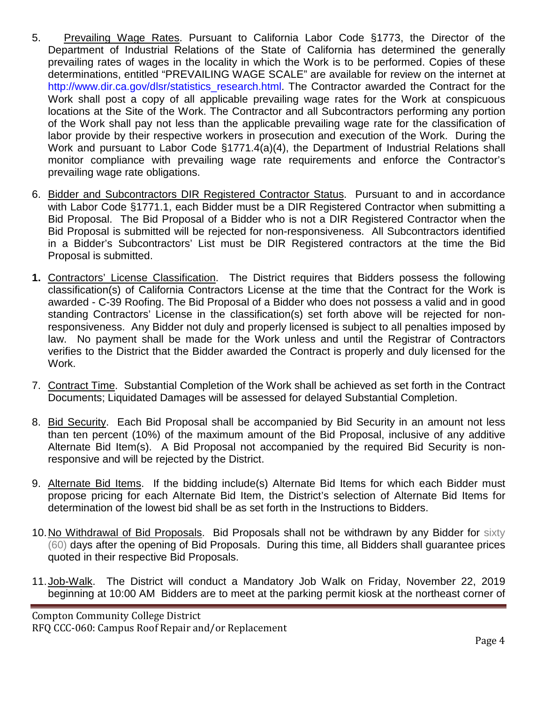- 5. Prevailing Wage Rates. Pursuant to California Labor Code §1773, the Director of the Department of Industrial Relations of the State of California has determined the generally prevailing rates of wages in the locality in which the Work is to be performed. Copies of these determinations, entitled "PREVAILING WAGE SCALE" are available for review on the internet at http://www.dir.ca.gov/dlsr/statistics\_research.html. The Contractor awarded the Contract for the Work shall post a copy of all applicable prevailing wage rates for the Work at conspicuous locations at the Site of the Work. The Contractor and all Subcontractors performing any portion of the Work shall pay not less than the applicable prevailing wage rate for the classification of labor provide by their respective workers in prosecution and execution of the Work. During the Work and pursuant to Labor Code §1771.4(a)(4), the Department of Industrial Relations shall monitor compliance with prevailing wage rate requirements and enforce the Contractor's prevailing wage rate obligations.
- 6. Bidder and Subcontractors DIR Registered Contractor Status. Pursuant to and in accordance with Labor Code §1771.1, each Bidder must be a DIR Registered Contractor when submitting a Bid Proposal. The Bid Proposal of a Bidder who is not a DIR Registered Contractor when the Bid Proposal is submitted will be rejected for non-responsiveness. All Subcontractors identified in a Bidder's Subcontractors' List must be DIR Registered contractors at the time the Bid Proposal is submitted.
- **1.** Contractors' License Classification. The District requires that Bidders possess the following classification(s) of California Contractors License at the time that the Contract for the Work is awarded - C-39 Roofing. The Bid Proposal of a Bidder who does not possess a valid and in good standing Contractors' License in the classification(s) set forth above will be rejected for nonresponsiveness. Any Bidder not duly and properly licensed is subject to all penalties imposed by law. No payment shall be made for the Work unless and until the Registrar of Contractors verifies to the District that the Bidder awarded the Contract is properly and duly licensed for the Work.
- 7. Contract Time. Substantial Completion of the Work shall be achieved as set forth in the Contract Documents; Liquidated Damages will be assessed for delayed Substantial Completion.
- 8. Bid Security. Each Bid Proposal shall be accompanied by Bid Security in an amount not less than ten percent (10%) of the maximum amount of the Bid Proposal, inclusive of any additive Alternate Bid Item(s). A Bid Proposal not accompanied by the required Bid Security is nonresponsive and will be rejected by the District.
- 9. Alternate Bid Items. If the bidding include(s) Alternate Bid Items for which each Bidder must propose pricing for each Alternate Bid Item, the District's selection of Alternate Bid Items for determination of the lowest bid shall be as set forth in the Instructions to Bidders.
- 10.No Withdrawal of Bid Proposals. Bid Proposals shall not be withdrawn by any Bidder for sixty (60) days after the opening of Bid Proposals. During this time, all Bidders shall guarantee prices quoted in their respective Bid Proposals.
- 11.Job-Walk. The District will conduct a Mandatory Job Walk on Friday, November 22, 2019 beginning at 10:00 AM Bidders are to meet at the parking permit kiosk at the northeast corner of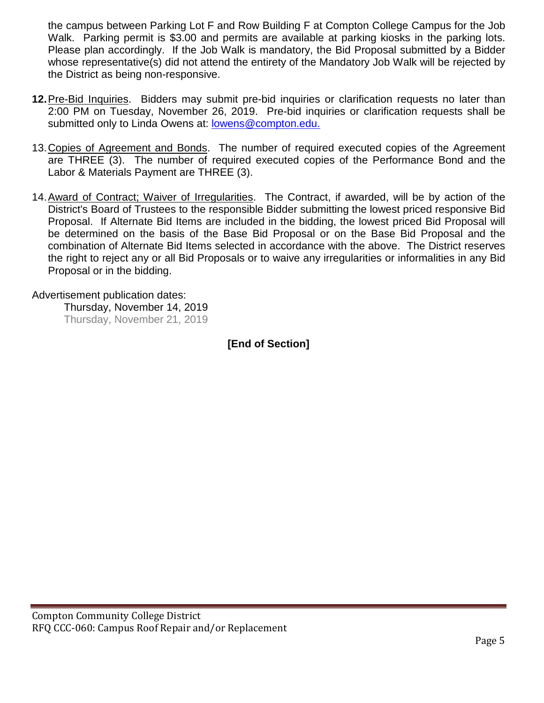the campus between Parking Lot F and Row Building F at Compton College Campus for the Job Walk. Parking permit is \$3.00 and permits are available at parking kiosks in the parking lots. Please plan accordingly. If the Job Walk is mandatory, the Bid Proposal submitted by a Bidder whose representative(s) did not attend the entirety of the Mandatory Job Walk will be rejected by the District as being non-responsive.

- **12.**Pre-Bid Inquiries. Bidders may submit pre-bid inquiries or clarification requests no later than 2:00 PM on Tuesday, November 26, 2019. Pre-bid inquiries or clarification requests shall be submitted only to Linda Owens at: lowens@compton.edu.
- 13.Copies of Agreement and Bonds. The number of required executed copies of the Agreement are THREE (3). The number of required executed copies of the Performance Bond and the Labor & Materials Payment are THREE (3).
- 14.Award of Contract; Waiver of Irregularities. The Contract, if awarded, will be by action of the District's Board of Trustees to the responsible Bidder submitting the lowest priced responsive Bid Proposal. If Alternate Bid Items are included in the bidding, the lowest priced Bid Proposal will be determined on the basis of the Base Bid Proposal or on the Base Bid Proposal and the combination of Alternate Bid Items selected in accordance with the above. The District reserves the right to reject any or all Bid Proposals or to waive any irregularities or informalities in any Bid Proposal or in the bidding.

Advertisement publication dates:

Thursday, November 14, 2019 Thursday, November 21, 2019

**[End of Section]**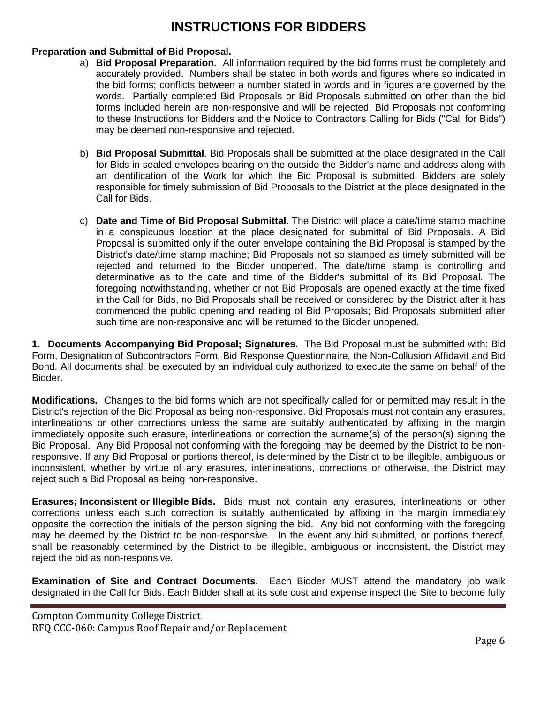# **INSTRUCTIONS FOR BIDDERS**

## **Preparation and Submittal of Bid Proposal.**

- a) **Bid Proposal Preparation.** All information required by the bid forms must be completely and accurately provided. Numbers shall be stated in both words and figures where so indicated in the bid forms; conflicts between a number stated in words and in figures are governed by the words. Partially completed Bid Proposals or Bid Proposals submitted on other than the bid forms included herein are non-responsive and will be rejected. Bid Proposals not conforming to these Instructions for Bidders and the Notice to Contractors Calling for Bids ("Call for Bids") may be deemed non-responsive and rejected.
- b) **Bid Proposal Submittal**. Bid Proposals shall be submitted at the place designated in the Call for Bids in sealed envelopes bearing on the outside the Bidder's name and address along with an identification of the Work for which the Bid Proposal is submitted. Bidders are solely responsible for timely submission of Bid Proposals to the District at the place designated in the Call for Bids.
- c) **Date and Time of Bid Proposal Submittal.** The District will place a date/time stamp machine in a conspicuous location at the place designated for submittal of Bid Proposals. A Bid Proposal is submitted only if the outer envelope containing the Bid Proposal is stamped by the District's date/time stamp machine; Bid Proposals not so stamped as timely submitted will be rejected and returned to the Bidder unopened. The date/time stamp is controlling and determinative as to the date and time of the Bidder's submittal of its Bid Proposal. The foregoing notwithstanding, whether or not Bid Proposals are opened exactly at the time fixed in the Call for Bids, no Bid Proposals shall be received or considered by the District after it has commenced the public opening and reading of Bid Proposals; Bid Proposals submitted after such time are non-responsive and will be returned to the Bidder unopened.

**1. Documents Accompanying Bid Proposal; Signatures.** The Bid Proposal must be submitted with: Bid Form, Designation of Subcontractors Form, Bid Response Questionnaire, the Non-Collusion Affidavit and Bid Bond. All documents shall be executed by an individual duly authorized to execute the same on behalf of the Bidder.

**Modifications.** Changes to the bid forms which are not specifically called for or permitted may result in the District's rejection of the Bid Proposal as being non-responsive. Bid Proposals must not contain any erasures, interlineations or other corrections unless the same are suitably authenticated by affixing in the margin immediately opposite such erasure, interlineations or correction the surname(s) of the person(s) signing the Bid Proposal. Any Bid Proposal not conforming with the foregoing may be deemed by the District to be nonresponsive. If any Bid Proposal or portions thereof, is determined by the District to be illegible, ambiguous or inconsistent, whether by virtue of any erasures, interlineations, corrections or otherwise, the District may reject such a Bid Proposal as being non-responsive.

**Erasures; Inconsistent or Illegible Bids.** Bids must not contain any erasures, interlineations or other corrections unless each such correction is suitably authenticated by affixing in the margin immediately opposite the correction the initials of the person signing the bid. Any bid not conforming with the foregoing may be deemed by the District to be non-responsive. In the event any bid submitted, or portions thereof, shall be reasonably determined by the District to be illegible, ambiguous or inconsistent, the District may reject the bid as non-responsive.

**Examination of Site and Contract Documents.** Each Bidder MUST attend the mandatory job walk designated in the Call for Bids. Each Bidder shall at its sole cost and expense inspect the Site to become fully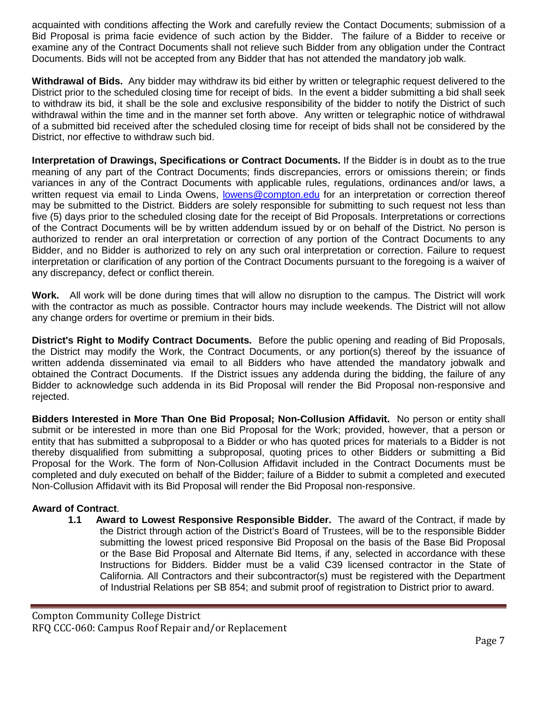acquainted with conditions affecting the Work and carefully review the Contact Documents; submission of a Bid Proposal is prima facie evidence of such action by the Bidder. The failure of a Bidder to receive or examine any of the Contract Documents shall not relieve such Bidder from any obligation under the Contract Documents. Bids will not be accepted from any Bidder that has not attended the mandatory job walk.

**Withdrawal of Bids.** Any bidder may withdraw its bid either by written or telegraphic request delivered to the District prior to the scheduled closing time for receipt of bids. In the event a bidder submitting a bid shall seek to withdraw its bid, it shall be the sole and exclusive responsibility of the bidder to notify the District of such withdrawal within the time and in the manner set forth above. Any written or telegraphic notice of withdrawal of a submitted bid received after the scheduled closing time for receipt of bids shall not be considered by the District, nor effective to withdraw such bid.

**Interpretation of Drawings, Specifications or Contract Documents.** If the Bidder is in doubt as to the true meaning of any part of the Contract Documents; finds discrepancies, errors or omissions therein; or finds variances in any of the Contract Documents with applicable rules, regulations, ordinances and/or laws, a written request via email to Linda Owens, [lowens@compton.edu](mailto:lowens@compton.edu) for an interpretation or correction thereof may be submitted to the District. Bidders are solely responsible for submitting to such request not less than five (5) days prior to the scheduled closing date for the receipt of Bid Proposals. Interpretations or corrections of the Contract Documents will be by written addendum issued by or on behalf of the District. No person is authorized to render an oral interpretation or correction of any portion of the Contract Documents to any Bidder, and no Bidder is authorized to rely on any such oral interpretation or correction. Failure to request interpretation or clarification of any portion of the Contract Documents pursuant to the foregoing is a waiver of any discrepancy, defect or conflict therein.

**Work.** All work will be done during times that will allow no disruption to the campus. The District will work with the contractor as much as possible. Contractor hours may include weekends. The District will not allow any change orders for overtime or premium in their bids.

**District's Right to Modify Contract Documents.** Before the public opening and reading of Bid Proposals, the District may modify the Work, the Contract Documents, or any portion(s) thereof by the issuance of written addenda disseminated via email to all Bidders who have attended the mandatory jobwalk and obtained the Contract Documents. If the District issues any addenda during the bidding, the failure of any Bidder to acknowledge such addenda in its Bid Proposal will render the Bid Proposal non-responsive and rejected.

**Bidders Interested in More Than One Bid Proposal; Non-Collusion Affidavit.** No person or entity shall submit or be interested in more than one Bid Proposal for the Work; provided, however, that a person or entity that has submitted a subproposal to a Bidder or who has quoted prices for materials to a Bidder is not thereby disqualified from submitting a subproposal, quoting prices to other Bidders or submitting a Bid Proposal for the Work. The form of Non-Collusion Affidavit included in the Contract Documents must be completed and duly executed on behalf of the Bidder; failure of a Bidder to submit a completed and executed Non-Collusion Affidavit with its Bid Proposal will render the Bid Proposal non-responsive.

## **Award of Contract**.

**1.1 Award to Lowest Responsive Responsible Bidder.** The award of the Contract, if made by the District through action of the District's Board of Trustees, will be to the responsible Bidder submitting the lowest priced responsive Bid Proposal on the basis of the Base Bid Proposal or the Base Bid Proposal and Alternate Bid Items, if any, selected in accordance with these Instructions for Bidders. Bidder must be a valid C39 licensed contractor in the State of California. All Contractors and their subcontractor(s) must be registered with the Department of Industrial Relations per SB 854; and submit proof of registration to District prior to award.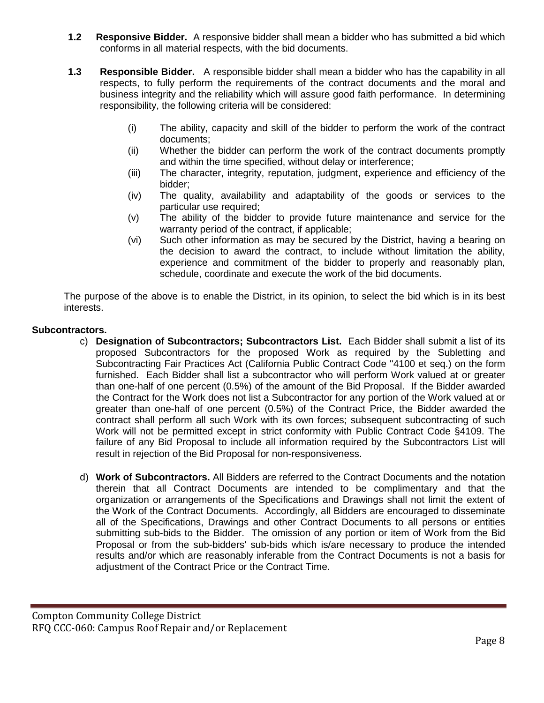- **1.2 Responsive Bidder.** A responsive bidder shall mean a bidder who has submitted a bid which conforms in all material respects, with the bid documents.
- **1.3 Responsible Bidder.** A responsible bidder shall mean a bidder who has the capability in all respects, to fully perform the requirements of the contract documents and the moral and business integrity and the reliability which will assure good faith performance. In determining responsibility, the following criteria will be considered:
	- (i) The ability, capacity and skill of the bidder to perform the work of the contract documents;
	- (ii) Whether the bidder can perform the work of the contract documents promptly and within the time specified, without delay or interference;
	- (iii) The character, integrity, reputation, judgment, experience and efficiency of the bidder;
	- (iv) The quality, availability and adaptability of the goods or services to the particular use required;
	- (v) The ability of the bidder to provide future maintenance and service for the warranty period of the contract, if applicable;
	- (vi) Such other information as may be secured by the District, having a bearing on the decision to award the contract, to include without limitation the ability, experience and commitment of the bidder to properly and reasonably plan, schedule, coordinate and execute the work of the bid documents.

The purpose of the above is to enable the District, in its opinion, to select the bid which is in its best interests.

## **Subcontractors.**

- c) **Designation of Subcontractors; Subcontractors List.** Each Bidder shall submit a list of its proposed Subcontractors for the proposed Work as required by the Subletting and Subcontracting Fair Practices Act (California Public Contract Code ''4100 et seq.) on the form furnished. Each Bidder shall list a subcontractor who will perform Work valued at or greater than one-half of one percent (0.5%) of the amount of the Bid Proposal. If the Bidder awarded the Contract for the Work does not list a Subcontractor for any portion of the Work valued at or greater than one-half of one percent (0.5%) of the Contract Price, the Bidder awarded the contract shall perform all such Work with its own forces; subsequent subcontracting of such Work will not be permitted except in strict conformity with Public Contract Code §4109. The failure of any Bid Proposal to include all information required by the Subcontractors List will result in rejection of the Bid Proposal for non-responsiveness.
- d) **Work of Subcontractors.** All Bidders are referred to the Contract Documents and the notation therein that all Contract Documents are intended to be complimentary and that the organization or arrangements of the Specifications and Drawings shall not limit the extent of the Work of the Contract Documents. Accordingly, all Bidders are encouraged to disseminate all of the Specifications, Drawings and other Contract Documents to all persons or entities submitting sub-bids to the Bidder. The omission of any portion or item of Work from the Bid Proposal or from the sub-bidders' sub-bids which is/are necessary to produce the intended results and/or which are reasonably inferable from the Contract Documents is not a basis for adjustment of the Contract Price or the Contract Time.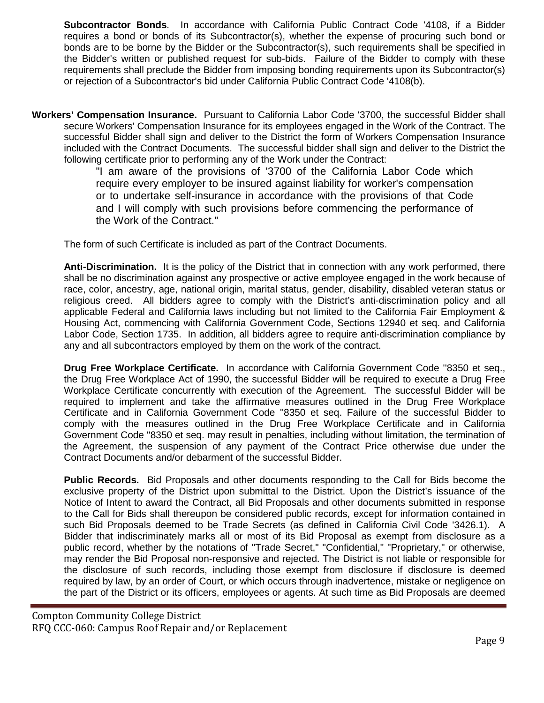**Subcontractor Bonds**. In accordance with California Public Contract Code '4108, if a Bidder requires a bond or bonds of its Subcontractor(s), whether the expense of procuring such bond or bonds are to be borne by the Bidder or the Subcontractor(s), such requirements shall be specified in the Bidder's written or published request for sub-bids. Failure of the Bidder to comply with these requirements shall preclude the Bidder from imposing bonding requirements upon its Subcontractor(s) or rejection of a Subcontractor's bid under California Public Contract Code '4108(b).

**Workers' Compensation Insurance.** Pursuant to California Labor Code '3700, the successful Bidder shall secure Workers' Compensation Insurance for its employees engaged in the Work of the Contract. The successful Bidder shall sign and deliver to the District the form of Workers Compensation Insurance included with the Contract Documents. The successful bidder shall sign and deliver to the District the following certificate prior to performing any of the Work under the Contract:

"I am aware of the provisions of '3700 of the California Labor Code which require every employer to be insured against liability for worker's compensation or to undertake self-insurance in accordance with the provisions of that Code and I will comply with such provisions before commencing the performance of the Work of the Contract."

The form of such Certificate is included as part of the Contract Documents.

**Anti-Discrimination.** It is the policy of the District that in connection with any work performed, there shall be no discrimination against any prospective or active employee engaged in the work because of race, color, ancestry, age, national origin, marital status, gender, disability, disabled veteran status or religious creed. All bidders agree to comply with the District's anti-discrimination policy and all applicable Federal and California laws including but not limited to the California Fair Employment & Housing Act, commencing with California Government Code, Sections 12940 et seq. and California Labor Code, Section 1735. In addition, all bidders agree to require anti-discrimination compliance by any and all subcontractors employed by them on the work of the contract.

**Drug Free Workplace Certificate.** In accordance with California Government Code ''8350 et seq., the Drug Free Workplace Act of 1990, the successful Bidder will be required to execute a Drug Free Workplace Certificate concurrently with execution of the Agreement. The successful Bidder will be required to implement and take the affirmative measures outlined in the Drug Free Workplace Certificate and in California Government Code ''8350 et seq. Failure of the successful Bidder to comply with the measures outlined in the Drug Free Workplace Certificate and in California Government Code ''8350 et seq. may result in penalties, including without limitation, the termination of the Agreement, the suspension of any payment of the Contract Price otherwise due under the Contract Documents and/or debarment of the successful Bidder.

**Public Records.** Bid Proposals and other documents responding to the Call for Bids become the exclusive property of the District upon submittal to the District. Upon the District's issuance of the Notice of Intent to award the Contract, all Bid Proposals and other documents submitted in response to the Call for Bids shall thereupon be considered public records, except for information contained in such Bid Proposals deemed to be Trade Secrets (as defined in California Civil Code '3426.1). A Bidder that indiscriminately marks all or most of its Bid Proposal as exempt from disclosure as a public record, whether by the notations of "Trade Secret," "Confidential," "Proprietary," or otherwise, may render the Bid Proposal non-responsive and rejected. The District is not liable or responsible for the disclosure of such records, including those exempt from disclosure if disclosure is deemed required by law, by an order of Court, or which occurs through inadvertence, mistake or negligence on the part of the District or its officers, employees or agents. At such time as Bid Proposals are deemed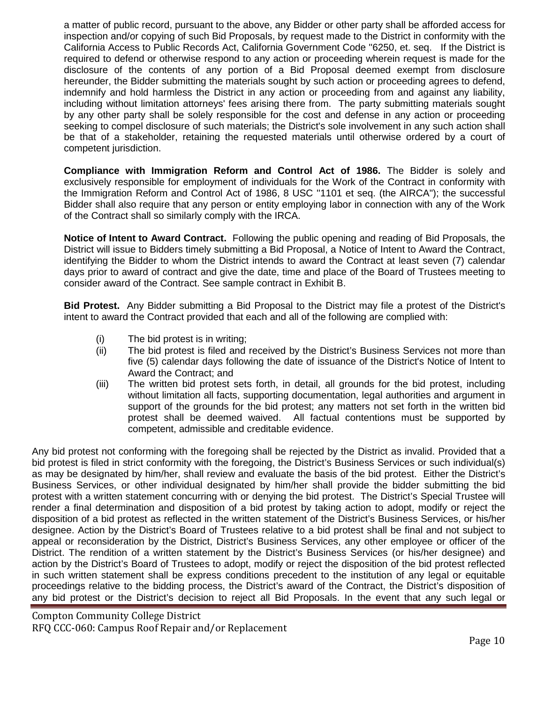a matter of public record, pursuant to the above, any Bidder or other party shall be afforded access for inspection and/or copying of such Bid Proposals, by request made to the District in conformity with the California Access to Public Records Act, California Government Code ''6250, et. seq. If the District is required to defend or otherwise respond to any action or proceeding wherein request is made for the disclosure of the contents of any portion of a Bid Proposal deemed exempt from disclosure hereunder, the Bidder submitting the materials sought by such action or proceeding agrees to defend, indemnify and hold harmless the District in any action or proceeding from and against any liability, including without limitation attorneys' fees arising there from. The party submitting materials sought by any other party shall be solely responsible for the cost and defense in any action or proceeding seeking to compel disclosure of such materials; the District's sole involvement in any such action shall be that of a stakeholder, retaining the requested materials until otherwise ordered by a court of competent jurisdiction.

**Compliance with Immigration Reform and Control Act of 1986.** The Bidder is solely and exclusively responsible for employment of individuals for the Work of the Contract in conformity with the Immigration Reform and Control Act of 1986, 8 USC ''1101 et seq. (the AIRCA"); the successful Bidder shall also require that any person or entity employing labor in connection with any of the Work of the Contract shall so similarly comply with the IRCA.

**Notice of Intent to Award Contract.** Following the public opening and reading of Bid Proposals, the District will issue to Bidders timely submitting a Bid Proposal, a Notice of Intent to Award the Contract, identifying the Bidder to whom the District intends to award the Contract at least seven (7) calendar days prior to award of contract and give the date, time and place of the Board of Trustees meeting to consider award of the Contract. See sample contract in Exhibit B.

**Bid Protest.** Any Bidder submitting a Bid Proposal to the District may file a protest of the District's intent to award the Contract provided that each and all of the following are complied with:

- (i) The bid protest is in writing;
- (ii) The bid protest is filed and received by the District's Business Services not more than five (5) calendar days following the date of issuance of the District's Notice of Intent to Award the Contract; and
- (iii) The written bid protest sets forth, in detail, all grounds for the bid protest, including without limitation all facts, supporting documentation, legal authorities and argument in support of the grounds for the bid protest; any matters not set forth in the written bid protest shall be deemed waived. All factual contentions must be supported by competent, admissible and creditable evidence.

Any bid protest not conforming with the foregoing shall be rejected by the District as invalid. Provided that a bid protest is filed in strict conformity with the foregoing, the District's Business Services or such individual(s) as may be designated by him/her, shall review and evaluate the basis of the bid protest. Either the District's Business Services, or other individual designated by him/her shall provide the bidder submitting the bid protest with a written statement concurring with or denying the bid protest. The District's Special Trustee will render a final determination and disposition of a bid protest by taking action to adopt, modify or reject the disposition of a bid protest as reflected in the written statement of the District's Business Services, or his/her designee. Action by the District's Board of Trustees relative to a bid protest shall be final and not subject to appeal or reconsideration by the District, District's Business Services, any other employee or officer of the District. The rendition of a written statement by the District's Business Services (or his/her designee) and action by the District's Board of Trustees to adopt, modify or reject the disposition of the bid protest reflected in such written statement shall be express conditions precedent to the institution of any legal or equitable proceedings relative to the bidding process, the District's award of the Contract, the District's disposition of any bid protest or the District's decision to reject all Bid Proposals. In the event that any such legal or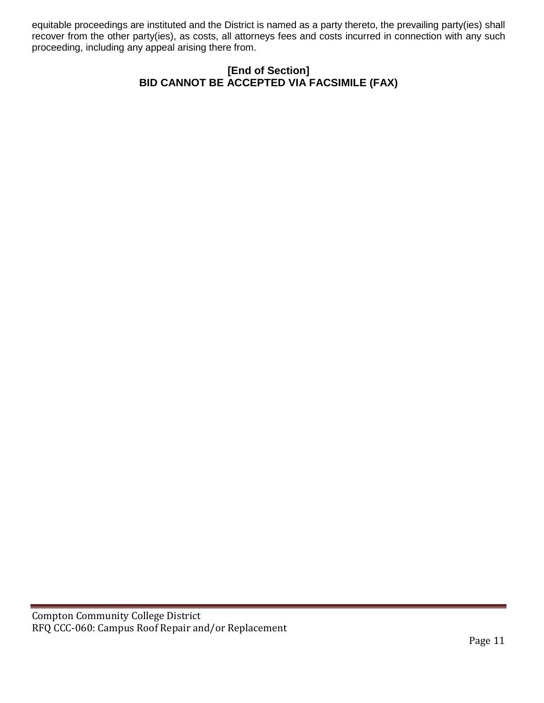equitable proceedings are instituted and the District is named as a party thereto, the prevailing party(ies) shall recover from the other party(ies), as costs, all attorneys fees and costs incurred in connection with any such proceeding, including any appeal arising there from.

## **[End of Section] BID CANNOT BE ACCEPTED VIA FACSIMILE (FAX)**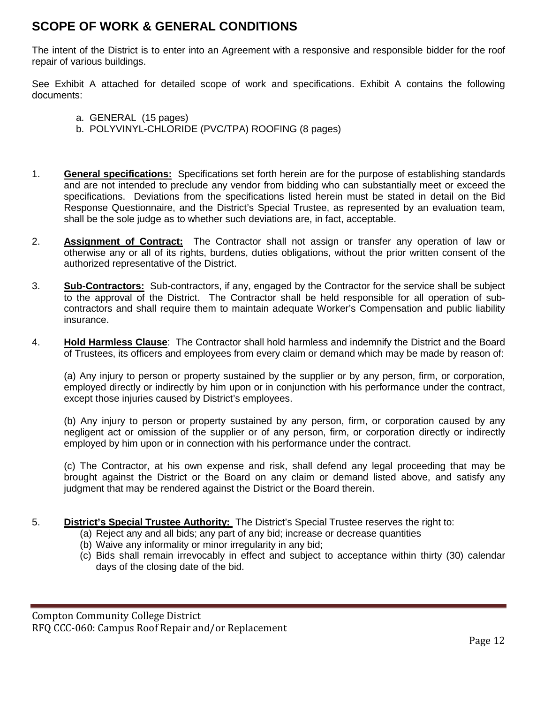# **SCOPE OF WORK & GENERAL CONDITIONS**

The intent of the District is to enter into an Agreement with a responsive and responsible bidder for the roof repair of various buildings.

See Exhibit A attached for detailed scope of work and specifications. Exhibit A contains the following documents:

- a. GENERAL (15 pages)
- b. POLYVINYL-CHLORIDE (PVC/TPA) ROOFING (8 pages)
- 1. **General specifications:** Specifications set forth herein are for the purpose of establishing standards and are not intended to preclude any vendor from bidding who can substantially meet or exceed the specifications. Deviations from the specifications listed herein must be stated in detail on the Bid Response Questionnaire, and the District's Special Trustee, as represented by an evaluation team, shall be the sole judge as to whether such deviations are, in fact, acceptable.
- 2. **Assignment of Contract:** The Contractor shall not assign or transfer any operation of law or otherwise any or all of its rights, burdens, duties obligations, without the prior written consent of the authorized representative of the District.
- 3. **Sub-Contractors:** Sub-contractors, if any, engaged by the Contractor for the service shall be subject to the approval of the District. The Contractor shall be held responsible for all operation of subcontractors and shall require them to maintain adequate Worker's Compensation and public liability insurance.
- 4. **Hold Harmless Clause**: The Contractor shall hold harmless and indemnify the District and the Board of Trustees, its officers and employees from every claim or demand which may be made by reason of:

(a) Any injury to person or property sustained by the supplier or by any person, firm, or corporation, employed directly or indirectly by him upon or in conjunction with his performance under the contract, except those injuries caused by District's employees.

(b) Any injury to person or property sustained by any person, firm, or corporation caused by any negligent act or omission of the supplier or of any person, firm, or corporation directly or indirectly employed by him upon or in connection with his performance under the contract.

(c) The Contractor, at his own expense and risk, shall defend any legal proceeding that may be brought against the District or the Board on any claim or demand listed above, and satisfy any judgment that may be rendered against the District or the Board therein.

- 5. **District's Special Trustee Authority:** The District's Special Trustee reserves the right to:
	- (a) Reject any and all bids; any part of any bid; increase or decrease quantities
	- (b) Waive any informality or minor irregularity in any bid;
	- (c) Bids shall remain irrevocably in effect and subject to acceptance within thirty (30) calendar days of the closing date of the bid.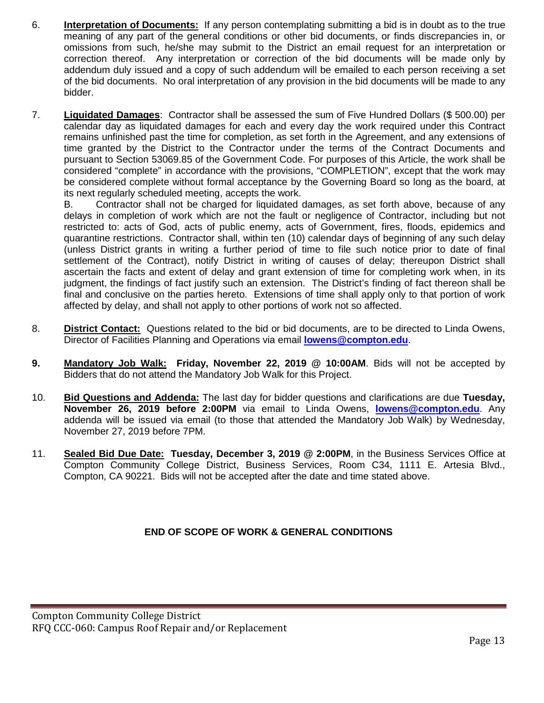- 6. **Interpretation of Documents:** If any person contemplating submitting a bid is in doubt as to the true meaning of any part of the general conditions or other bid documents, or finds discrepancies in, or omissions from such, he/she may submit to the District an email request for an interpretation or correction thereof. Any interpretation or correction of the bid documents will be made only by addendum duly issued and a copy of such addendum will be emailed to each person receiving a set of the bid documents. No oral interpretation of any provision in the bid documents will be made to any bidder.
- 7. **Liquidated Damages**: Contractor shall be assessed the sum of Five Hundred Dollars (\$ 500.00) per calendar day as liquidated damages for each and every day the work required under this Contract remains unfinished past the time for completion, as set forth in the Agreement, and any extensions of time granted by the District to the Contractor under the terms of the Contract Documents and pursuant to Section 53069.85 of the Government Code. For purposes of this Article, the work shall be considered "complete" in accordance with the provisions, "COMPLETION", except that the work may be considered complete without formal acceptance by the Governing Board so long as the board, at its next regularly scheduled meeting, accepts the work.

B. Contractor shall not be charged for liquidated damages, as set forth above, because of any delays in completion of work which are not the fault or negligence of Contractor, including but not restricted to: acts of God, acts of public enemy, acts of Government, fires, floods, epidemics and quarantine restrictions. Contractor shall, within ten (10) calendar days of beginning of any such delay (unless District grants in writing a further period of time to file such notice prior to date of final settlement of the Contract), notify District in writing of causes of delay; thereupon District shall ascertain the facts and extent of delay and grant extension of time for completing work when, in its judgment, the findings of fact justify such an extension. The District's finding of fact thereon shall be final and conclusive on the parties hereto. Extensions of time shall apply only to that portion of work affected by delay, and shall not apply to other portions of work not so affected.

- 8. **District Contact:** Questions related to the bid or bid documents, are to be directed to Linda Owens, Director of Facilities Planning and Operations via email **[lowens@compton.edu](mailto:lowens@compton.edu)**.
- **9. Mandatory Job Walk: Friday, November 22, 2019 @ 10:00AM**. Bids will not be accepted by Bidders that do not attend the Mandatory Job Walk for this Project.
- 10. **Bid Questions and Addenda:** The last day for bidder questions and clarifications are due **Tuesday, November 26, 2019 before 2:00PM** via email to Linda Owens, **[lowens@compton.edu](mailto:lowens@compton.edu)**. Any addenda will be issued via email (to those that attended the Mandatory Job Walk) by Wednesday, November 27, 2019 before 7PM.
- 11. **Sealed Bid Due Date: Tuesday, December 3, 2019 @ 2:00PM**, in the Business Services Office at Compton Community College District, Business Services, Room C34, 1111 E. Artesia Blvd., Compton, CA 90221. Bids will not be accepted after the date and time stated above.

## **END OF SCOPE OF WORK & GENERAL CONDITIONS**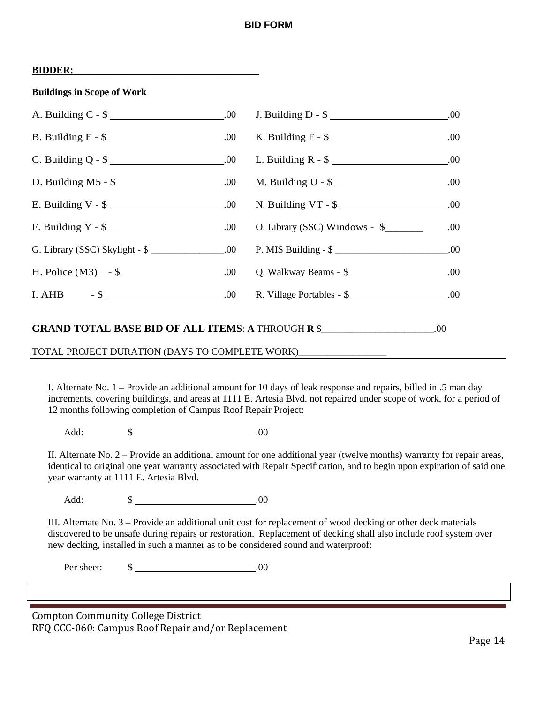## **BID FORM**

|--|

| <b>Buildings in Scope of Work</b> |  |  |  |
|-----------------------------------|--|--|--|
|                                   |  |  |  |

| B. Building E - $\frac{1}{2}$ ________________________.00 K. Building F - $\frac{1}{2}$ _______________________.00 |  |  |
|--------------------------------------------------------------------------------------------------------------------|--|--|
|                                                                                                                    |  |  |
|                                                                                                                    |  |  |
|                                                                                                                    |  |  |
| F. Building Y - \$ ______________________.00 O. Library (SSC) Windows - \$ __________.00                           |  |  |
| G. Library (SSC) Skylight - \$ ______________.00 P. MIS Building - \$ __________________.00                        |  |  |
|                                                                                                                    |  |  |
|                                                                                                                    |  |  |
| <b>GRAND TOTAL BASE BID OF ALL ITEMS: A THROUGH R \$____________________.00</b>                                    |  |  |
| TOTAL PROJECT DURATION (DAYS TO COMPLETE WORK)_________                                                            |  |  |

I. Alternate No. 1 – Provide an additional amount for 10 days of leak response and repairs, billed in .5 man day increments, covering buildings, and areas at 1111 E. Artesia Blvd. not repaired under scope of work, for a period of 12 months following completion of Campus Roof Repair Project:

Add: \$ .00

II. Alternate No. 2 – Provide an additional amount for one additional year (twelve months) warranty for repair areas, identical to original one year warranty associated with Repair Specification, and to begin upon expiration of said one year warranty at 1111 E. Artesia Blvd.

Add: \$ .00

III. Alternate No. 3 – Provide an additional unit cost for replacement of wood decking or other deck materials discovered to be unsafe during repairs or restoration. Replacement of decking shall also include roof system over new decking, installed in such a manner as to be considered sound and waterproof:

Per sheet:  $\qquad \qquad$  \$ .00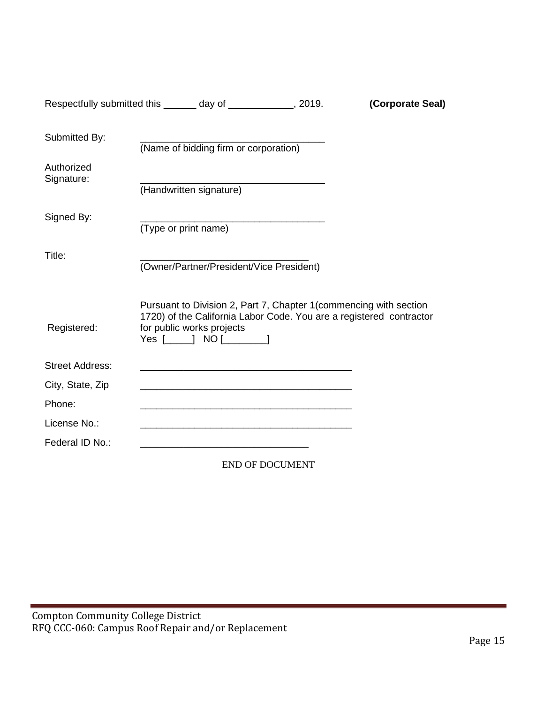|                          | Respectfully submitted this ______ day of ____________, 2019.                                                                                                                                  |                        | (Corporate Seal) |
|--------------------------|------------------------------------------------------------------------------------------------------------------------------------------------------------------------------------------------|------------------------|------------------|
| Submitted By:            |                                                                                                                                                                                                |                        |                  |
|                          | (Name of bidding firm or corporation)                                                                                                                                                          |                        |                  |
| Authorized<br>Signature: |                                                                                                                                                                                                |                        |                  |
|                          | (Handwritten signature)                                                                                                                                                                        |                        |                  |
| Signed By:               |                                                                                                                                                                                                |                        |                  |
|                          | (Type or print name)                                                                                                                                                                           |                        |                  |
| Title:                   | (Owner/Partner/President/Vice President)                                                                                                                                                       |                        |                  |
| Registered:              | Pursuant to Division 2, Part 7, Chapter 1 (commencing with section<br>1720) of the California Labor Code. You are a registered contractor<br>for public works projects<br>Yes $[\_]$ NO $[\_]$ |                        |                  |
| <b>Street Address:</b>   |                                                                                                                                                                                                |                        |                  |
| City, State, Zip         | <u> 1989 - Johann Harry Harry Harry Harry Harry Harry Harry Harry Harry Harry Harry Harry Harry Harry Harry Harry</u>                                                                          |                        |                  |
| Phone:                   |                                                                                                                                                                                                |                        |                  |
| License No.:             |                                                                                                                                                                                                |                        |                  |
| Federal ID No.:          |                                                                                                                                                                                                |                        |                  |
|                          |                                                                                                                                                                                                | <b>END OF DOCUMENT</b> |                  |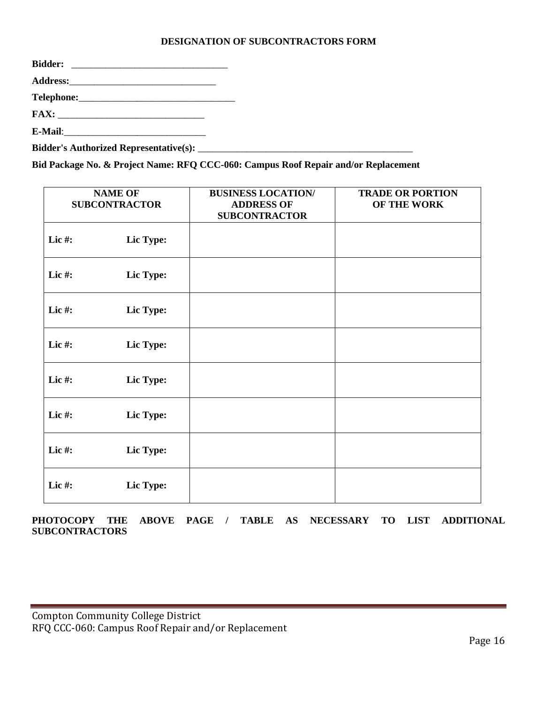## **DESIGNATION OF SUBCONTRACTORS FORM**

| <b>Bidder:</b> |  |
|----------------|--|
|                |  |
|                |  |
|                |  |
|                |  |
|                |  |

**Bid Package No. & Project Name: RFQ CCC-060: Campus Roof Repair and/or Replacement**

|           | <b>NAME OF</b><br><b>SUBCONTRACTOR</b> | <b>BUSINESS LOCATION/</b><br><b>ADDRESS OF</b><br><b>SUBCONTRACTOR</b> | <b>TRADE OR PORTION</b><br>OF THE WORK |
|-----------|----------------------------------------|------------------------------------------------------------------------|----------------------------------------|
| Lic#:     | Lic Type:                              |                                                                        |                                        |
| Lic#:     | Lic Type:                              |                                                                        |                                        |
| Lic#:     | Lic Type:                              |                                                                        |                                        |
| Lic $#$ : | Lic Type:                              |                                                                        |                                        |
| Lic#:     | Lic Type:                              |                                                                        |                                        |
| Lic#:     | Lic Type:                              |                                                                        |                                        |
| Lic $#$ : | Lic Type:                              |                                                                        |                                        |
| Lic#:     | Lic Type:                              |                                                                        |                                        |

**PHOTOCOPY THE ABOVE PAGE / TABLE AS NECESSARY TO LIST ADDITIONAL SUBCONTRACTORS**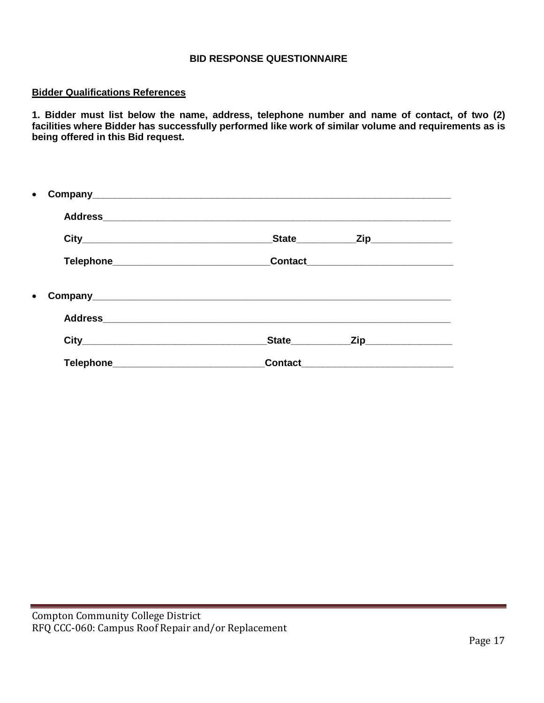## **BID RESPONSE QUESTIONNAIRE**

### **Bidder Qualifications References**

**1. Bidder must list below the name, address, telephone number and name of contact, of two (2) facilities where Bidder has successfully performed like work of similar volume and requirements as is being offered in this Bid request.**

|           |                                            |             | _State______________Zip________________ |  |
|-----------|--------------------------------------------|-------------|-----------------------------------------|--|
|           | Telephone_________________________________ |             | Contact_______________________          |  |
| $\bullet$ |                                            |             |                                         |  |
|           |                                            |             |                                         |  |
|           |                                            | State State | _Zip_____________________               |  |
|           |                                            |             |                                         |  |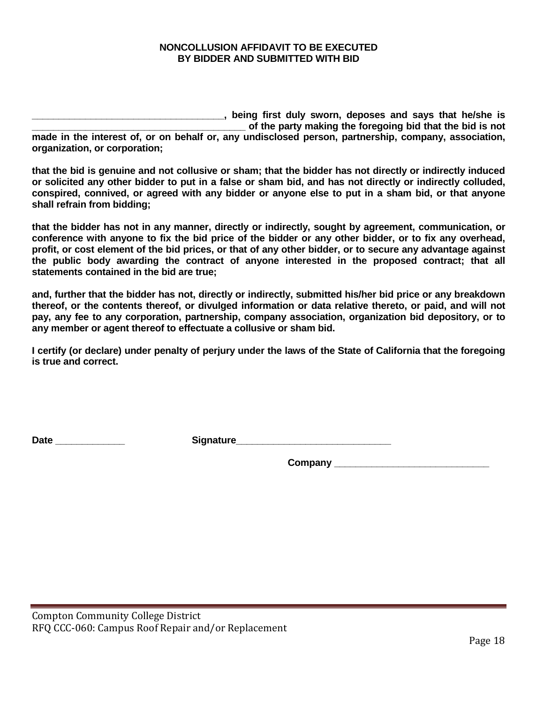### **NONCOLLUSION AFFIDAVIT TO BE EXECUTED BY BIDDER AND SUBMITTED WITH BID**

**\_\_\_\_\_\_\_\_\_\_\_\_\_\_\_\_\_\_\_\_\_\_\_\_\_\_\_\_\_\_\_\_\_\_\_\_, being first duly sworn, deposes and says that he/she is \_\_\_\_\_\_\_\_\_\_\_\_\_\_\_\_\_\_\_\_\_\_\_\_\_\_\_\_\_\_\_\_\_\_\_\_\_\_\_\_ of the party making the foregoing bid that the bid is not made in the interest of, or on behalf or, any undisclosed person, partnership, company, association, organization, or corporation;** 

**that the bid is genuine and not collusive or sham; that the bidder has not directly or indirectly induced or solicited any other bidder to put in a false or sham bid, and has not directly or indirectly colluded, conspired, connived, or agreed with any bidder or anyone else to put in a sham bid, or that anyone shall refrain from bidding;** 

**that the bidder has not in any manner, directly or indirectly, sought by agreement, communication, or conference with anyone to fix the bid price of the bidder or any other bidder, or to fix any overhead, profit, or cost element of the bid prices, or that of any other bidder, or to secure any advantage against the public body awarding the contract of anyone interested in the proposed contract; that all statements contained in the bid are true;** 

**and, further that the bidder has not, directly or indirectly, submitted his/her bid price or any breakdown thereof, or the contents thereof, or divulged information or data relative thereto, or paid, and will not pay, any fee to any corporation, partnership, company association, organization bid depository, or to any member or agent thereof to effectuate a collusive or sham bid.** 

**I certify (or declare) under penalty of perjury under the laws of the State of California that the foregoing is true and correct.**

Date **Date and Contract Contract Signature** 

**Company \_\_\_\_\_\_\_\_\_\_\_\_\_\_\_\_\_\_\_\_\_\_\_\_\_\_\_\_\_**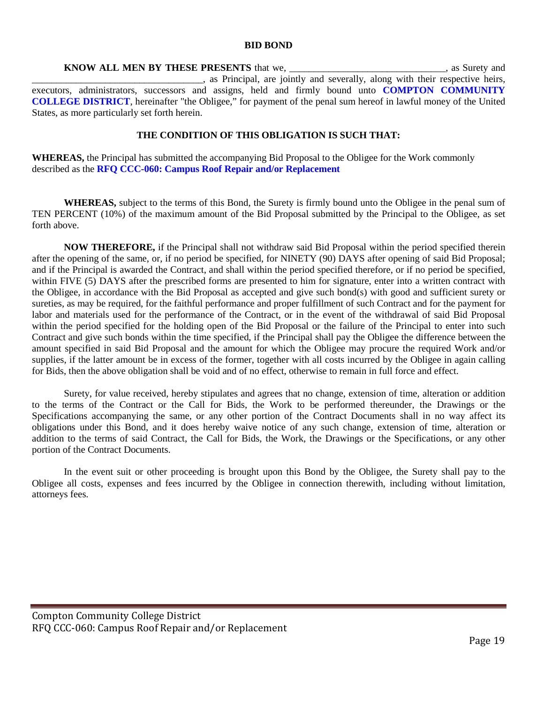#### **BID BOND**

**KNOW ALL MEN BY THESE PRESENTS** that we, \_\_\_\_\_\_\_\_\_\_\_\_\_\_\_\_\_\_\_\_\_\_\_\_\_\_\_\_\_\_\_\_, as Surety and . as Principal, are jointly and severally, along with their respective heirs, executors, administrators, successors and assigns, held and firmly bound unto **COMPTON COMMUNITY COLLEGE DISTRICT**, hereinafter "the Obligee," for payment of the penal sum hereof in lawful money of the United States, as more particularly set forth herein.

#### **THE CONDITION OF THIS OBLIGATION IS SUCH THAT:**

**WHEREAS,** the Principal has submitted the accompanying Bid Proposal to the Obligee for the Work commonly described as the **RFQ CCC-060: Campus Roof Repair and/or Replacement**

**WHEREAS,** subject to the terms of this Bond, the Surety is firmly bound unto the Obligee in the penal sum of TEN PERCENT (10%) of the maximum amount of the Bid Proposal submitted by the Principal to the Obligee, as set forth above.

**NOW THEREFORE,** if the Principal shall not withdraw said Bid Proposal within the period specified therein after the opening of the same, or, if no period be specified, for NINETY (90) DAYS after opening of said Bid Proposal; and if the Principal is awarded the Contract, and shall within the period specified therefore, or if no period be specified, within FIVE (5) DAYS after the prescribed forms are presented to him for signature, enter into a written contract with the Obligee, in accordance with the Bid Proposal as accepted and give such bond(s) with good and sufficient surety or sureties, as may be required, for the faithful performance and proper fulfillment of such Contract and for the payment for labor and materials used for the performance of the Contract, or in the event of the withdrawal of said Bid Proposal within the period specified for the holding open of the Bid Proposal or the failure of the Principal to enter into such Contract and give such bonds within the time specified, if the Principal shall pay the Obligee the difference between the amount specified in said Bid Proposal and the amount for which the Obligee may procure the required Work and/or supplies, if the latter amount be in excess of the former, together with all costs incurred by the Obligee in again calling for Bids, then the above obligation shall be void and of no effect, otherwise to remain in full force and effect.

Surety, for value received, hereby stipulates and agrees that no change, extension of time, alteration or addition to the terms of the Contract or the Call for Bids, the Work to be performed thereunder, the Drawings or the Specifications accompanying the same, or any other portion of the Contract Documents shall in no way affect its obligations under this Bond, and it does hereby waive notice of any such change, extension of time, alteration or addition to the terms of said Contract, the Call for Bids, the Work, the Drawings or the Specifications, or any other portion of the Contract Documents.

In the event suit or other proceeding is brought upon this Bond by the Obligee, the Surety shall pay to the Obligee all costs, expenses and fees incurred by the Obligee in connection therewith, including without limitation, attorneys fees.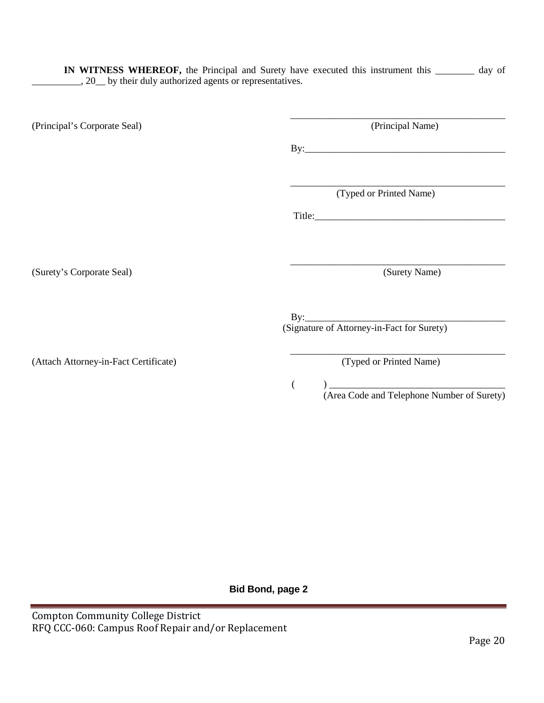**IN WITNESS WHEREOF,** the Principal and Surety have executed this instrument this \_\_\_\_\_\_\_\_ day of \_\_\_\_\_, 20\_\_ by their duly authorized agents or representatives.

\_\_\_\_\_\_\_\_\_\_\_\_\_\_\_\_\_\_\_\_\_\_\_\_\_\_\_\_\_\_\_\_\_\_\_\_\_\_\_\_\_\_\_\_ (Principal's Corporate Seal) (Principal Name)

By:\_\_\_\_\_\_\_\_\_\_\_\_\_\_\_\_\_\_\_\_\_\_\_\_\_\_\_\_\_\_\_\_\_\_\_\_\_\_\_\_\_

(Typed or Printed Name)

\_\_\_\_\_\_\_\_\_\_\_\_\_\_\_\_\_\_\_\_\_\_\_\_\_\_\_\_\_\_\_\_\_\_\_\_\_\_\_\_\_\_\_\_

\_\_\_\_\_\_\_\_\_\_\_\_\_\_\_\_\_\_\_\_\_\_\_\_\_\_\_\_\_\_\_\_\_\_\_\_\_\_\_\_\_\_\_\_

Title:\_\_\_\_\_\_\_\_\_\_\_\_\_\_\_\_\_\_\_\_\_\_\_\_\_\_\_\_\_\_\_\_\_\_\_\_\_\_\_

(Surety's Corporate Seal) (Surety Name)

By:\_\_\_\_\_\_\_\_\_\_\_\_\_\_\_\_\_\_\_\_\_\_\_\_\_\_\_\_\_\_\_\_\_\_\_\_\_\_\_\_\_ (Signature of Attorney-in-Fact for Surety)

(Attach Attorney-in-Fact Certificate) (Typed or Printed Name)

\_\_\_\_\_\_\_\_\_\_\_\_\_\_\_\_\_\_\_\_\_\_\_\_\_\_\_\_\_\_\_\_\_\_\_\_\_\_\_\_\_\_\_\_

( ) \_\_\_\_\_\_\_\_\_\_\_\_\_\_\_\_\_\_\_\_\_\_\_\_\_\_\_\_\_\_\_\_\_\_\_\_

(Area Code and Telephone Number of Surety)

**Bid Bond, page 2**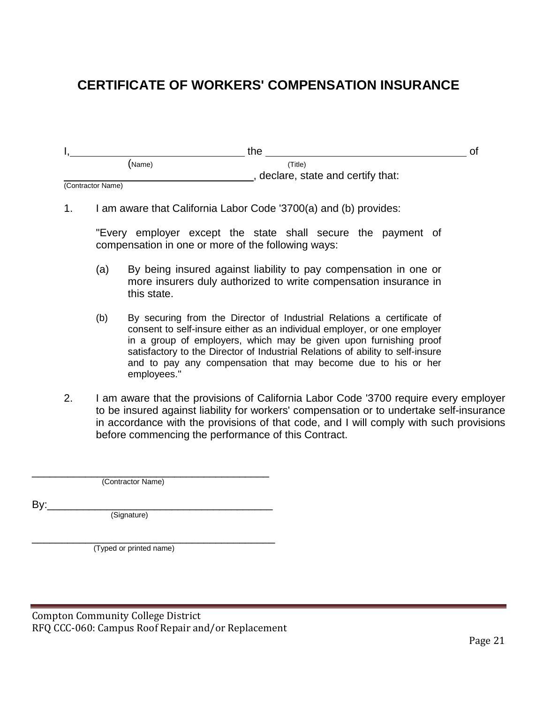# **CERTIFICATE OF WORKERS' COMPENSATION INSURANCE**

|        | the                              |  |
|--------|----------------------------------|--|
| (Name) | 'Title)                          |  |
|        | declare, state and certify that: |  |

(Contractor Name)

1. I am aware that California Labor Code '3700(a) and (b) provides:

"Every employer except the state shall secure the payment of compensation in one or more of the following ways:

- (a) By being insured against liability to pay compensation in one or more insurers duly authorized to write compensation insurance in this state.
- (b) By securing from the Director of Industrial Relations a certificate of consent to self-insure either as an individual employer, or one employer in a group of employers, which may be given upon furnishing proof satisfactory to the Director of Industrial Relations of ability to self-insure and to pay any compensation that may become due to his or her employees."
- 2. I am aware that the provisions of California Labor Code '3700 require every employer to be insured against liability for workers' compensation or to undertake self-insurance in accordance with the provisions of that code, and I will comply with such provisions before commencing the performance of this Contract.

\_\_\_\_\_\_\_\_\_\_\_\_\_\_\_\_\_\_\_\_\_\_\_\_\_\_\_\_\_\_\_\_\_\_\_\_\_\_\_\_ (Contractor Name)

By:\_\_\_\_\_\_\_\_\_\_\_\_\_\_\_\_\_\_\_\_\_\_\_\_\_\_\_\_\_\_\_\_\_\_\_\_\_\_ (Signature)

\_\_\_\_\_\_\_\_\_\_\_\_\_\_\_\_\_\_\_\_\_\_\_\_\_\_\_\_\_\_\_\_\_\_\_\_\_\_\_\_\_ (Typed or printed name)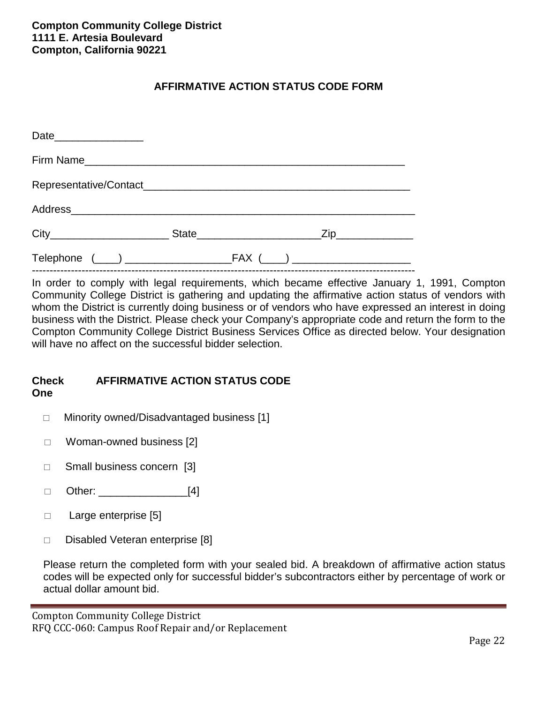## **AFFIRMATIVE ACTION STATUS CODE FORM**

| Date__________________ |  |  |
|------------------------|--|--|
|                        |  |  |
|                        |  |  |
|                        |  |  |
|                        |  |  |
|                        |  |  |

In order to comply with legal requirements, which became effective January 1, 1991, Compton Community College District is gathering and updating the affirmative action status of vendors with whom the District is currently doing business or of vendors who have expressed an interest in doing business with the District. Please check your Company's appropriate code and return the form to the Compton Community College District Business Services Office as directed below. Your designation will have no affect on the successful bidder selection.

### **Check AFFIRMATIVE ACTION STATUS CODE One**

- □ Minority owned/Disadvantaged business [1]
- $\Box$  Woman-owned business [2]
- □ Small business concern [3]
- $\Box$  Other: [4]
- $\Box$  Large enterprise [5]
- $\Box$  Disabled Veteran enterprise [8]

Please return the completed form with your sealed bid. A breakdown of affirmative action status codes will be expected only for successful bidder's subcontractors either by percentage of work or actual dollar amount bid.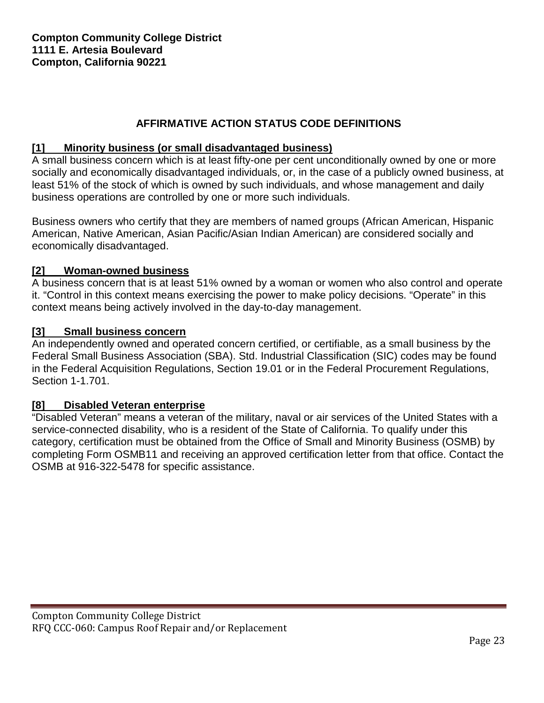## **AFFIRMATIVE ACTION STATUS CODE DEFINITIONS**

## **[1] Minority business (or small disadvantaged business)**

A small business concern which is at least fifty-one per cent unconditionally owned by one or more socially and economically disadvantaged individuals, or, in the case of a publicly owned business, at least 51% of the stock of which is owned by such individuals, and whose management and daily business operations are controlled by one or more such individuals.

Business owners who certify that they are members of named groups (African American, Hispanic American, Native American, Asian Pacific/Asian Indian American) are considered socially and economically disadvantaged.

## **[2] Woman-owned business**

A business concern that is at least 51% owned by a woman or women who also control and operate it. "Control in this context means exercising the power to make policy decisions. "Operate" in this context means being actively involved in the day-to-day management.

## **[3] Small business concern**

An independently owned and operated concern certified, or certifiable, as a small business by the Federal Small Business Association (SBA). Std. Industrial Classification (SIC) codes may be found in the Federal Acquisition Regulations, Section 19.01 or in the Federal Procurement Regulations, Section 1-1.701.

## **[8] Disabled Veteran enterprise**

"Disabled Veteran" means a veteran of the military, naval or air services of the United States with a service-connected disability, who is a resident of the State of California. To qualify under this category, certification must be obtained from the Office of Small and Minority Business (OSMB) by completing Form OSMB11 and receiving an approved certification letter from that office. Contact the OSMB at 916-322-5478 for specific assistance.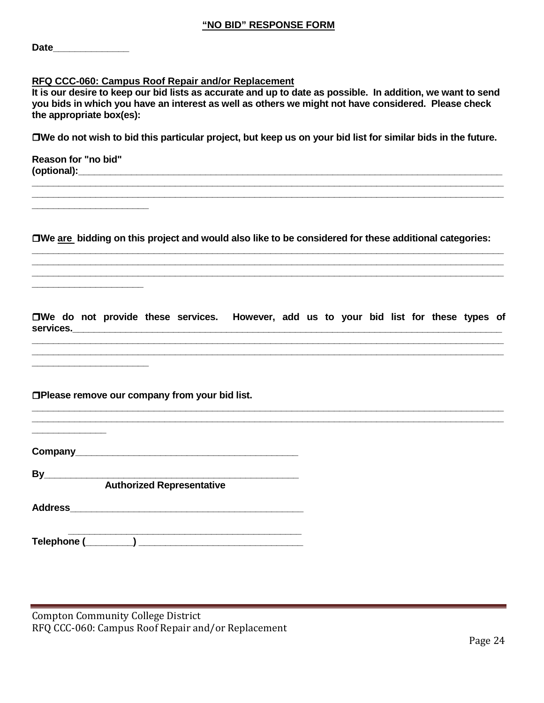| Date |  |  |  |
|------|--|--|--|
|      |  |  |  |

#### **RFQ CCC-060: Campus Roof Repair and/or Replacement**

**It is our desire to keep our bid lists as accurate and up to date as possible. In addition, we want to send you bids in which you have an interest as well as others we might not have considered. Please check the appropriate box(es):**

**We do not wish to bid this particular project, but keep us on your bid list for similar bids in the future.**

**\_\_\_\_\_\_\_\_\_\_\_\_\_\_\_\_\_\_\_\_\_\_\_\_\_\_\_\_\_\_\_\_\_\_\_\_\_\_\_\_\_\_\_\_\_\_\_\_\_\_\_\_\_\_\_\_\_\_\_\_\_\_\_\_\_\_\_\_\_\_\_\_\_\_\_\_\_\_\_\_\_\_\_\_\_\_\_\_\_ \_\_\_\_\_\_\_\_\_\_\_\_\_\_\_\_\_\_\_\_\_\_\_\_\_\_\_\_\_\_\_\_\_\_\_\_\_\_\_\_\_\_\_\_\_\_\_\_\_\_\_\_\_\_\_\_\_\_\_\_\_\_\_\_\_\_\_\_\_\_\_\_\_\_\_\_\_\_\_\_\_\_\_\_\_\_\_\_\_**

**Reason for "no bid" (optional):**  $\blacksquare$ 

**\_\_\_\_\_\_\_\_\_\_\_\_\_\_\_\_\_\_\_\_\_\_**

**\_\_\_\_\_\_\_\_\_\_\_\_\_\_\_\_\_\_\_\_\_**

**\_\_\_\_\_\_\_\_\_\_\_\_\_\_\_\_\_\_\_\_\_\_**

**We are bidding on this project and would also like to be considered for these additional categories: \_\_\_\_\_\_\_\_\_\_\_\_\_\_\_\_\_\_\_\_\_\_\_\_\_\_\_\_\_\_\_\_\_\_\_\_\_\_\_\_\_\_\_\_\_\_\_\_\_\_\_\_\_\_\_\_\_\_\_\_\_\_\_\_\_\_\_\_\_\_\_\_\_\_\_\_\_\_\_\_\_\_\_\_\_\_\_\_\_**

**\_\_\_\_\_\_\_\_\_\_\_\_\_\_\_\_\_\_\_\_\_\_\_\_\_\_\_\_\_\_\_\_\_\_\_\_\_\_\_\_\_\_\_\_\_\_\_\_\_\_\_\_\_\_\_\_\_\_\_\_\_\_\_\_\_\_\_\_\_\_\_\_\_\_\_\_\_\_\_\_\_\_\_\_\_\_\_\_\_ \_\_\_\_\_\_\_\_\_\_\_\_\_\_\_\_\_\_\_\_\_\_\_\_\_\_\_\_\_\_\_\_\_\_\_\_\_\_\_\_\_\_\_\_\_\_\_\_\_\_\_\_\_\_\_\_\_\_\_\_\_\_\_\_\_\_\_\_\_\_\_\_\_\_\_\_\_\_\_\_\_\_\_\_\_\_\_\_\_**

**We do not provide these services. However, add us to your bid list for these types of services.\_\_\_\_\_\_\_\_\_\_\_\_\_\_\_\_\_\_\_\_\_\_\_\_\_\_\_\_\_\_\_\_\_\_\_\_\_\_\_\_\_\_\_\_\_\_\_\_\_\_\_\_\_\_\_\_\_\_\_\_\_\_\_\_\_\_\_\_\_\_\_\_\_\_\_\_\_\_\_\_\_**

**\_\_\_\_\_\_\_\_\_\_\_\_\_\_\_\_\_\_\_\_\_\_\_\_\_\_\_\_\_\_\_\_\_\_\_\_\_\_\_\_\_\_\_\_\_\_\_\_\_\_\_\_\_\_\_\_\_\_\_\_\_\_\_\_\_\_\_\_\_\_\_\_\_\_\_\_\_\_\_\_\_\_\_\_\_\_\_\_\_ \_\_\_\_\_\_\_\_\_\_\_\_\_\_\_\_\_\_\_\_\_\_\_\_\_\_\_\_\_\_\_\_\_\_\_\_\_\_\_\_\_\_\_\_\_\_\_\_\_\_\_\_\_\_\_\_\_\_\_\_\_\_\_\_\_\_\_\_\_\_\_\_\_\_\_\_\_\_\_\_\_\_\_\_\_\_\_\_\_**

**\_\_\_\_\_\_\_\_\_\_\_\_\_\_\_\_\_\_\_\_\_\_\_\_\_\_\_\_\_\_\_\_\_\_\_\_\_\_\_\_\_\_\_\_\_\_\_\_\_\_\_\_\_\_\_\_\_\_\_\_\_\_\_\_\_\_\_\_\_\_\_\_\_\_\_\_\_\_\_\_\_\_\_\_\_\_\_\_\_ \_\_\_\_\_\_\_\_\_\_\_\_\_\_\_\_\_\_\_\_\_\_\_\_\_\_\_\_\_\_\_\_\_\_\_\_\_\_\_\_\_\_\_\_\_\_\_\_\_\_\_\_\_\_\_\_\_\_\_\_\_\_\_\_\_\_\_\_\_\_\_\_\_\_\_\_\_\_\_\_\_\_\_\_\_\_\_\_\_**

**Please remove our company from your bid list.**

**Company\_\_\_\_\_\_\_\_\_\_\_\_\_\_\_\_\_\_\_\_\_\_\_\_\_\_\_\_\_\_\_\_\_\_\_\_\_\_\_\_\_\_**

**By\_\_\_\_\_\_\_\_\_\_\_\_\_\_\_\_\_\_\_\_\_\_\_\_\_\_\_\_\_\_\_\_\_\_\_\_\_\_\_\_\_\_\_\_\_\_\_\_**

**Authorized Representative**

**Address** 

**\_\_\_\_\_\_\_\_\_\_\_\_\_\_**

 **\_\_\_\_\_\_\_\_\_\_\_\_\_\_\_\_\_\_\_\_\_\_\_\_\_\_\_\_\_\_\_\_\_\_\_\_\_\_\_\_\_\_\_\_ Telephone (\_\_\_\_\_\_\_\_\_) \_\_\_\_\_\_\_\_\_\_\_\_\_\_\_\_\_\_\_\_\_\_\_\_\_\_\_\_\_\_\_**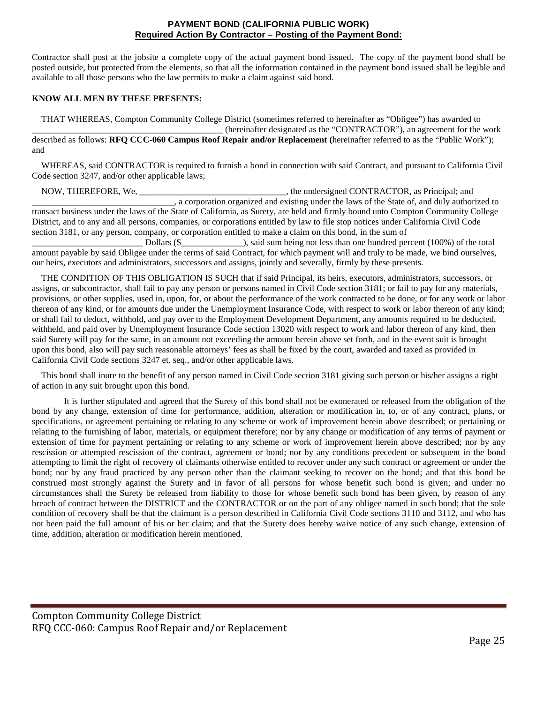#### **PAYMENT BOND (CALIFORNIA PUBLIC WORK) Required Action By Contractor – Posting of the Payment Bond:**

Contractor shall post at the jobsite a complete copy of the actual payment bond issued. The copy of the payment bond shall be posted outside, but protected from the elements, so that all the information contained in the payment bond issued shall be legible and available to all those persons who the law permits to make a claim against said bond.

#### **KNOW ALL MEN BY THESE PRESENTS:**

THAT WHEREAS, Compton Community College District (sometimes referred to hereinafter as "Obligee") has awarded to \_\_\_\_\_\_\_\_\_\_\_\_\_\_\_\_\_\_\_\_\_\_\_\_\_\_\_\_\_\_\_\_\_\_\_\_\_\_\_\_\_\_\_ (hereinafter designated as the "CONTRACTOR"), an agreement for the work described as follows: **RFQ CCC-060 Campus Roof Repair and/or Replacement (**hereinafter referred to as the "Public Work"); and

WHEREAS, said CONTRACTOR is required to furnish a bond in connection with said Contract, and pursuant to California Civil Code section 3247, and/or other applicable laws;

NOW, THEREFORE, We, \_\_\_\_\_\_\_\_\_\_\_\_\_\_\_\_\_\_\_\_\_\_\_\_\_\_\_\_\_\_\_\_\_, the undersigned CONTRACTOR, as Principal; and \_\_\_\_\_\_\_\_\_\_\_\_\_\_\_\_\_\_\_\_\_\_\_\_\_\_\_\_\_\_\_\_, a corporation organized and existing under the laws of the State of, and duly authorized to transact business under the laws of the State of California, as Surety, are held and firmly bound unto Compton Community College District, and to any and all persons, companies, or corporations entitled by law to file stop notices under California Civil Code section 3181, or any person, company, or corporation entitled to make a claim on this bond, in the sum of

\_\_\_\_\_\_\_\_\_\_\_\_\_\_\_\_\_\_\_\_\_\_\_\_\_ Dollars (\$\_\_\_\_\_\_\_\_\_\_\_\_\_\_), said sum being not less than one hundred percent (100%) of the total amount payable by said Obligee under the terms of said Contract, for which payment will and truly to be made, we bind ourselves, our heirs, executors and administrators, successors and assigns, jointly and severally, firmly by these presents.

THE CONDITION OF THIS OBLIGATION IS SUCH that if said Principal, its heirs, executors, administrators, successors, or assigns, or subcontractor, shall fail to pay any person or persons named in Civil Code section 3181; or fail to pay for any materials, provisions, or other supplies, used in, upon, for, or about the performance of the work contracted to be done, or for any work or labor thereon of any kind, or for amounts due under the Unemployment Insurance Code, with respect to work or labor thereon of any kind; or shall fail to deduct, withhold, and pay over to the Employment Development Department, any amounts required to be deducted, withheld, and paid over by Unemployment Insurance Code section 13020 with respect to work and labor thereon of any kind, then said Surety will pay for the same, in an amount not exceeding the amount herein above set forth, and in the event suit is brought upon this bond, also will pay such reasonable attorneys' fees as shall be fixed by the court, awarded and taxed as provided in California Civil Code sections 3247 et. seq., and/or other applicable laws.

This bond shall inure to the benefit of any person named in Civil Code section 3181 giving such person or his/her assigns a right of action in any suit brought upon this bond.

It is further stipulated and agreed that the Surety of this bond shall not be exonerated or released from the obligation of the bond by any change, extension of time for performance, addition, alteration or modification in, to, or of any contract, plans, or specifications, or agreement pertaining or relating to any scheme or work of improvement herein above described; or pertaining or relating to the furnishing of labor, materials, or equipment therefore; nor by any change or modification of any terms of payment or extension of time for payment pertaining or relating to any scheme or work of improvement herein above described; nor by any rescission or attempted rescission of the contract, agreement or bond; nor by any conditions precedent or subsequent in the bond attempting to limit the right of recovery of claimants otherwise entitled to recover under any such contract or agreement or under the bond; nor by any fraud practiced by any person other than the claimant seeking to recover on the bond; and that this bond be construed most strongly against the Surety and in favor of all persons for whose benefit such bond is given; and under no circumstances shall the Surety be released from liability to those for whose benefit such bond has been given, by reason of any breach of contract between the DISTRICT and the CONTRACTOR or on the part of any obligee named in such bond; that the sole condition of recovery shall be that the claimant is a person described in California Civil Code sections 3110 and 3112, and who has not been paid the full amount of his or her claim; and that the Surety does hereby waive notice of any such change, extension of time, addition, alteration or modification herein mentioned.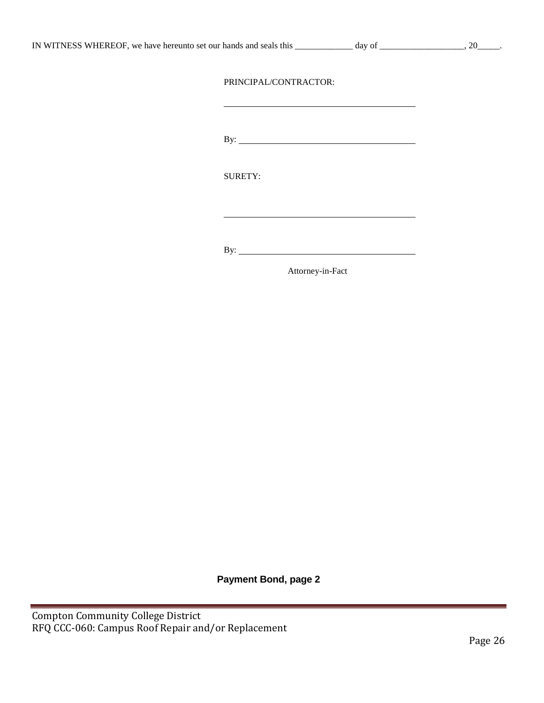|  | IN WITNESS WHEREOF, we have hereunto set our hands and seals this |
|--|-------------------------------------------------------------------|
|--|-------------------------------------------------------------------|

 $\frac{1}{\text{day of}}$  and set our hands and set our hands and set our hands and search  $\frac{1}{\text{day of}}$ 

### PRINCIPAL/CONTRACTOR:

By:

SURETY:

By:

Attorney-in-Fact

**Payment Bond, page 2**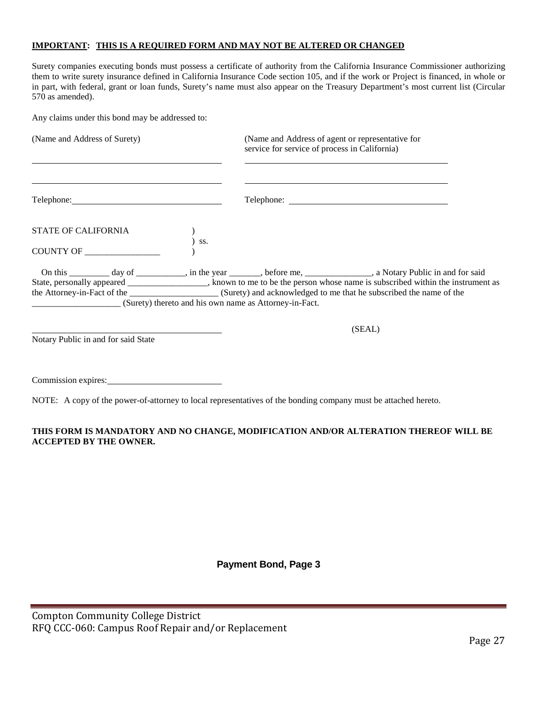#### **IMPORTANT: THIS IS A REQUIRED FORM AND MAY NOT BE ALTERED OR CHANGED**

Surety companies executing bonds must possess a certificate of authority from the California Insurance Commissioner authorizing them to write surety insurance defined in California Insurance Code section 105, and if the work or Project is financed, in whole or in part, with federal, grant or loan funds, Surety's name must also appear on the Treasury Department's most current list (Circular 570 as amended).

Any claims under this bond may be addressed to:

| (Name and Address of Surety)        |     | (Name and Address of agent or representative for<br>service for service of process in California)                                                                                                                                                    |
|-------------------------------------|-----|------------------------------------------------------------------------------------------------------------------------------------------------------------------------------------------------------------------------------------------------------|
|                                     |     |                                                                                                                                                                                                                                                      |
| STATE OF CALIFORNIA                 | SS. |                                                                                                                                                                                                                                                      |
| COUNTY OF _____                     |     |                                                                                                                                                                                                                                                      |
|                                     |     | On this __________ day of ___________, in the year _______, before me, ______________, a Notary Public in and for said<br>State, personally appeared _______________, known to me to be the person whose name is subscribed within the instrument as |
| Notary Public in and for said State |     | (SEAL)                                                                                                                                                                                                                                               |

Commission expires:

NOTE: A copy of the power-of-attorney to local representatives of the bonding company must be attached hereto.

### **THIS FORM IS MANDATORY AND NO CHANGE, MODIFICATION AND/OR ALTERATION THEREOF WILL BE ACCEPTED BY THE OWNER.**

## **Payment Bond, Page 3**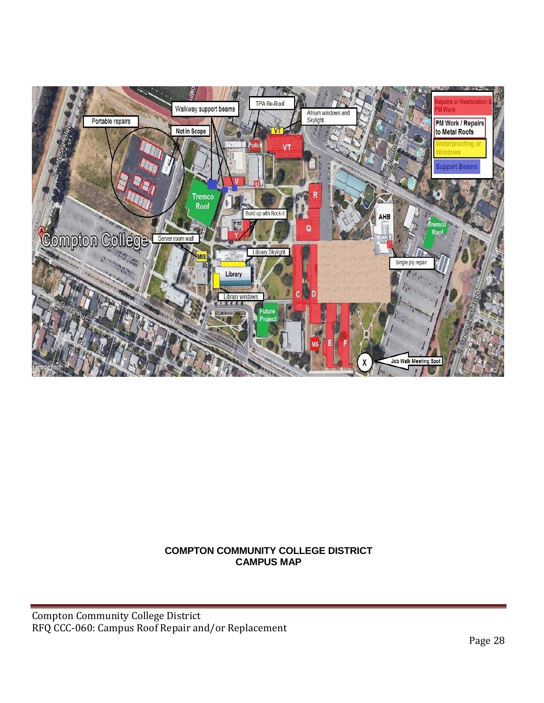

## **COMPTON COMMUNITY COLLEGE DISTRICT CAMPUS MAP**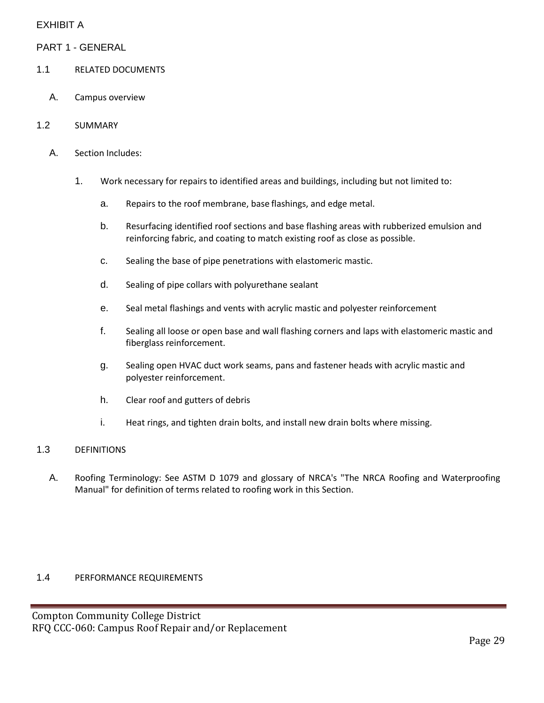## EXHIBIT A

PART 1 - GENERAL

- 1.1 RELATED DOCUMENTS
	- A. Campus overview
- 1.2 SUMMARY
	- A. Section Includes:
		- 1. Work necessary for repairs to identified areas and buildings, including but not limited to:
			- a. Repairs to the roof membrane, base flashings, and edge metal.
			- b. Resurfacing identified roof sections and base flashing areas with rubberized emulsion and reinforcing fabric, and coating to match existing roof as close as possible.
			- c. Sealing the base of pipe penetrations with elastomeric mastic.
			- d. Sealing of pipe collars with polyurethane sealant
			- e. Seal metal flashings and vents with acrylic mastic and polyester reinforcement
			- f. Sealing all loose or open base and wall flashing corners and laps with elastomeric mastic and fiberglass reinforcement.
			- g. Sealing open HVAC duct work seams, pans and fastener heads with acrylic mastic and polyester reinforcement.
			- h. Clear roof and gutters of debris
			- i. Heat rings, and tighten drain bolts, and install new drain bolts where missing.

## 1.3 DEFINITIONS

A. Roofing Terminology: See ASTM D 1079 and glossary of NRCA's "The NRCA Roofing and Waterproofing Manual" for definition of terms related to roofing work in this Section.

### 1.4 PERFORMANCE REQUIREMENTS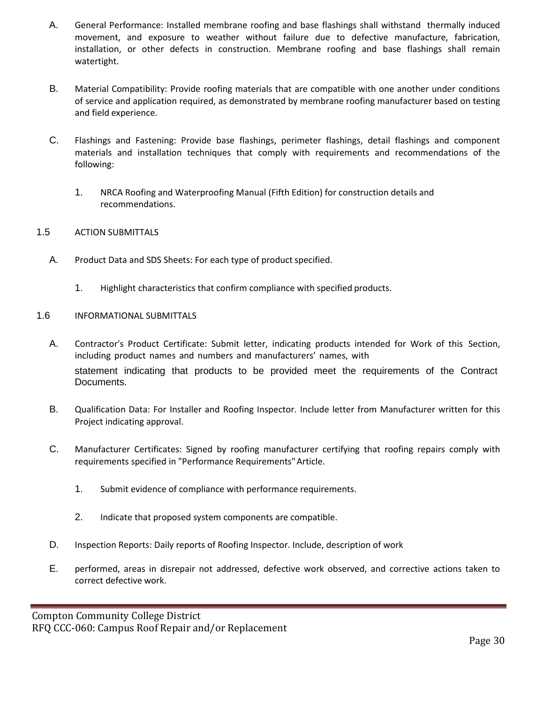- A. General Performance: Installed membrane roofing and base flashings shall withstand thermally induced movement, and exposure to weather without failure due to defective manufacture, fabrication, installation, or other defects in construction. Membrane roofing and base flashings shall remain watertight.
- B. Material Compatibility: Provide roofing materials that are compatible with one another under conditions of service and application required, as demonstrated by membrane roofing manufacturer based on testing and field experience.
- C. Flashings and Fastening: Provide base flashings, perimeter flashings, detail flashings and component materials and installation techniques that comply with requirements and recommendations of the following:
	- 1. NRCA Roofing and Waterproofing Manual (Fifth Edition) for construction details and recommendations.
- 1.5 ACTION SUBMITTALS
	- A. Product Data and SDS Sheets: For each type of product specified.
		- 1. Highlight characteristics that confirm compliance with specified products.
- 1.6 INFORMATIONAL SUBMITTALS
	- A. Contractor's Product Certificate: Submit letter, indicating products intended for Work of this Section, including product names and numbers and manufacturers' names, with statement indicating that products to be provided meet the requirements of the Contract Documents.
	- B. Qualification Data: For Installer and Roofing Inspector. Include letter from Manufacturer written for this Project indicating approval.
	- C. Manufacturer Certificates: Signed by roofing manufacturer certifying that roofing repairs comply with requirements specified in "Performance Requirements"Article.
		- 1. Submit evidence of compliance with performance requirements.
		- 2. Indicate that proposed system components are compatible.
	- D. Inspection Reports: Daily reports of Roofing Inspector. Include, description of work
	- E. performed, areas in disrepair not addressed, defective work observed, and corrective actions taken to correct defective work.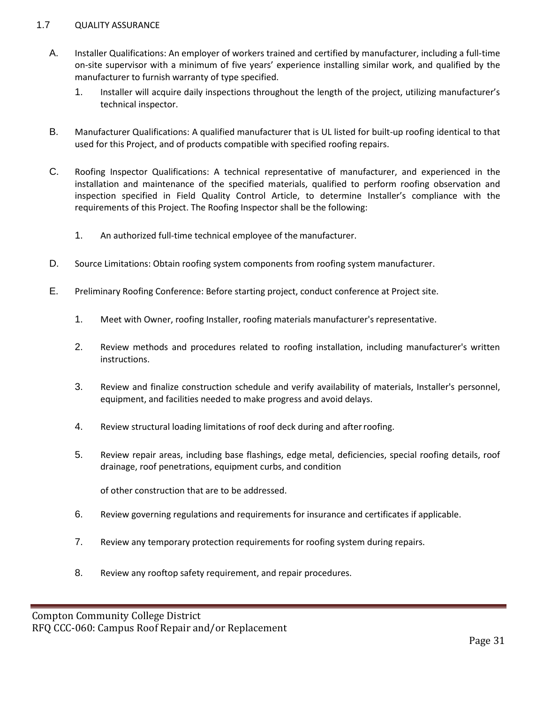### 1.7 QUALITY ASSURANCE

- A. Installer Qualifications: An employer of workers trained and certified by manufacturer, including a full-time on-site supervisor with a minimum of five years' experience installing similar work, and qualified by the manufacturer to furnish warranty of type specified.
	- 1. Installer will acquire daily inspections throughout the length of the project, utilizing manufacturer's technical inspector.
- B. Manufacturer Qualifications: A qualified manufacturer that is UL listed for built-up roofing identical to that used for this Project, and of products compatible with specified roofing repairs.
- C. Roofing Inspector Qualifications: A technical representative of manufacturer, and experienced in the installation and maintenance of the specified materials, qualified to perform roofing observation and inspection specified in Field Quality Control Article, to determine Installer's compliance with the requirements of this Project. The Roofing Inspector shall be the following:
	- 1. An authorized full-time technical employee of the manufacturer.
- D. Source Limitations: Obtain roofing system components from roofing system manufacturer.
- E. Preliminary Roofing Conference: Before starting project, conduct conference at Project site.
	- 1. Meet with Owner, roofing Installer, roofing materials manufacturer's representative.
	- 2. Review methods and procedures related to roofing installation, including manufacturer's written instructions.
	- 3. Review and finalize construction schedule and verify availability of materials, Installer's personnel, equipment, and facilities needed to make progress and avoid delays.
	- 4. Review structural loading limitations of roof deck during and afterroofing.
	- 5. Review repair areas, including base flashings, edge metal, deficiencies, special roofing details, roof drainage, roof penetrations, equipment curbs, and condition

of other construction that are to be addressed.

- 6. Review governing regulations and requirements for insurance and certificates if applicable.
- 7. Review any temporary protection requirements for roofing system during repairs.
- 8. Review any rooftop safety requirement, and repair procedures.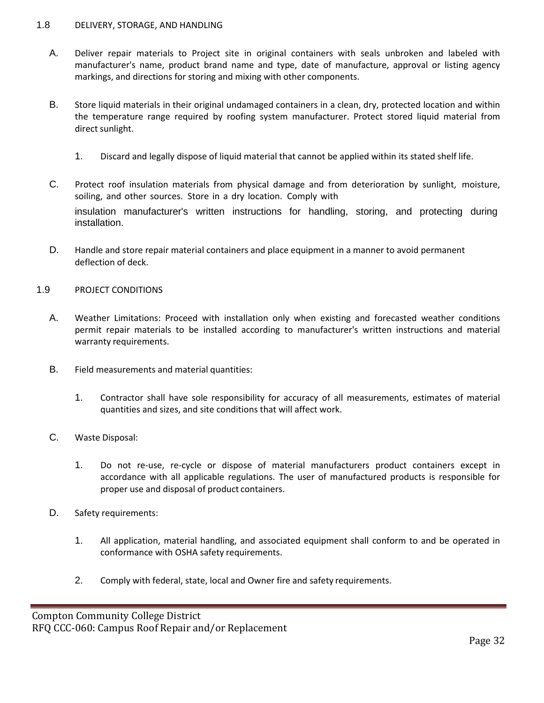### 1.8 DELIVERY, STORAGE, AND HANDLING

- A. Deliver repair materials to Project site in original containers with seals unbroken and labeled with manufacturer's name, product brand name and type, date of manufacture, approval or listing agency markings, and directions for storing and mixing with other components.
- B. Store liquid materials in their original undamaged containers in a clean, dry, protected location and within the temperature range required by roofing system manufacturer. Protect stored liquid material from direct sunlight.
	- 1. Discard and legally dispose of liquid material that cannot be applied within its stated shelf life.
- C. Protect roof insulation materials from physical damage and from deterioration by sunlight, moisture, soiling, and other sources. Store in a dry location. Comply with insulation manufacturer's written instructions for handling, storing, and protecting during installation.
- D. Handle and store repair material containers and place equipment in a manner to avoid permanent deflection of deck.

#### 1.9 PROJECT CONDITIONS

- A. Weather Limitations: Proceed with installation only when existing and forecasted weather conditions permit repair materials to be installed according to manufacturer's written instructions and material warranty requirements.
- B. Field measurements and material quantities:
	- 1. Contractor shall have sole responsibility for accuracy of all measurements, estimates of material quantities and sizes, and site conditions that will affect work.
- C. Waste Disposal:
	- 1. Do not re-use, re-cycle or dispose of material manufacturers product containers except in accordance with all applicable regulations. The user of manufactured products is responsible for proper use and disposal of product containers.
- D. Safety requirements:
	- 1. All application, material handling, and associated equipment shall conform to and be operated in conformance with OSHA safety requirements.
	- 2. Comply with federal, state, local and Owner fire and safety requirements.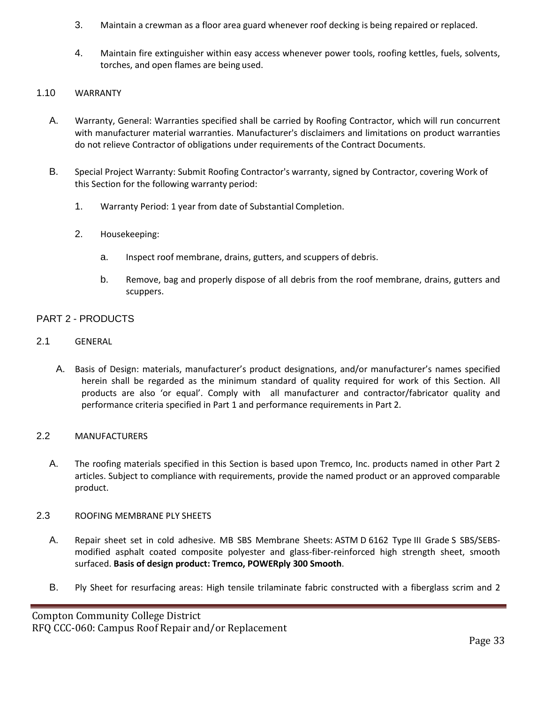- 3. Maintain a crewman as a floor area guard whenever roof decking is being repaired or replaced.
- 4. Maintain fire extinguisher within easy access whenever power tools, roofing kettles, fuels, solvents, torches, and open flames are being used.

## 1.10 WARRANTY

- A. Warranty, General: Warranties specified shall be carried by Roofing Contractor, which will run concurrent with manufacturer material warranties. Manufacturer's disclaimers and limitations on product warranties do not relieve Contractor of obligations under requirements of the Contract Documents.
- B. Special Project Warranty: Submit Roofing Contractor's warranty, signed by Contractor, covering Work of this Section for the following warranty period:
	- 1. Warranty Period: 1 year from date of Substantial Completion.
	- 2. Housekeeping:
		- a. Inspect roof membrane, drains, gutters, and scuppers of debris.
		- b. Remove, bag and properly dispose of all debris from the roof membrane, drains, gutters and scuppers.

## PART 2 - PRODUCTS

- 2.1 GENERAL
	- A. Basis of Design: materials, manufacturer's product designations, and/or manufacturer's names specified herein shall be regarded as the minimum standard of quality required for work of this Section. All products are also 'or equal'. Comply with all manufacturer and contractor/fabricator quality and performance criteria specified in Part 1 and performance requirements in Part 2.

### 2.2 MANUFACTURERS

A. The roofing materials specified in this Section is based upon Tremco, Inc. products named in other Part 2 articles. Subject to compliance with requirements, provide the named product or an approved comparable product.

### 2.3 ROOFING MEMBRANE PLY SHEETS

- A. Repair sheet set in cold adhesive. MB SBS Membrane Sheets: ASTM D 6162 Type III Grade S SBS/SEBSmodified asphalt coated composite polyester and glass-fiber-reinforced high strength sheet, smooth surfaced. **Basis of design product: Tremco, POWERply 300 Smooth**.
- B. Ply Sheet for resurfacing areas: High tensile trilaminate fabric constructed with a fiberglass scrim and 2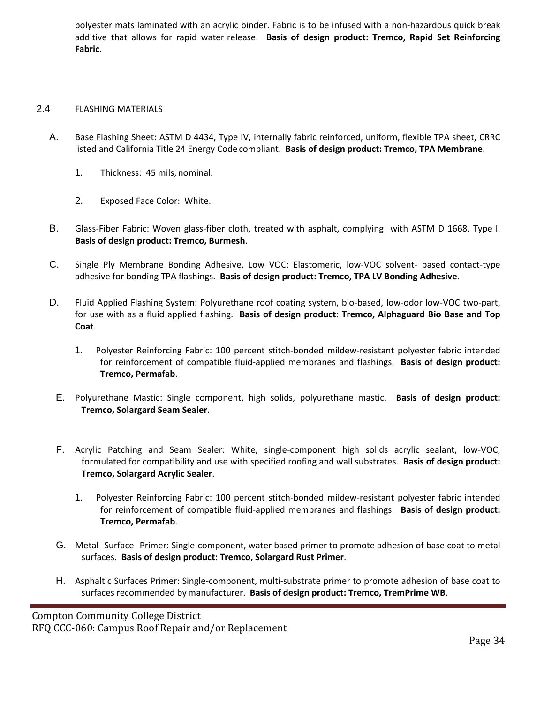polyester mats laminated with an acrylic binder. Fabric is to be infused with a non-hazardous quick break additive that allows for rapid water release. **Basis of design product: Tremco, Rapid Set Reinforcing Fabric**.

### 2.4 FLASHING MATERIALS

- A. Base Flashing Sheet: ASTM D 4434, Type IV, internally fabric reinforced, uniform, flexible TPA sheet, CRRC listed and California Title 24 Energy Code compliant. **Basis of design product: Tremco, TPA Membrane**.
	- 1. Thickness: 45 mils, nominal.
	- 2. Exposed Face Color: White.
- B. Glass-Fiber Fabric: Woven glass-fiber cloth, treated with asphalt, complying with ASTM D 1668, Type I. **Basis of design product: Tremco, Burmesh**.
- C. Single Ply Membrane Bonding Adhesive, Low VOC: Elastomeric, low-VOC solvent- based contact-type adhesive for bonding TPA flashings. **Basis of design product: Tremco, TPA LV Bonding Adhesive**.
- D. Fluid Applied Flashing System: Polyurethane roof coating system, bio-based, low-odor low-VOC two-part, for use with as a fluid applied flashing. **Basis of design product: Tremco, Alphaguard Bio Base and Top Coat**.
	- 1. Polyester Reinforcing Fabric: 100 percent stitch-bonded mildew-resistant polyester fabric intended for reinforcement of compatible fluid-applied membranes and flashings. **Basis of design product: Tremco, Permafab**.
	- E. Polyurethane Mastic: Single component, high solids, polyurethane mastic. **Basis of design product: Tremco, Solargard Seam Sealer**.
	- F. Acrylic Patching and Seam Sealer: White, single-component high solids acrylic sealant, low-VOC, formulated for compatibility and use with specified roofing and wall substrates. **Basis of design product: Tremco, Solargard Acrylic Sealer**.
		- 1. Polyester Reinforcing Fabric: 100 percent stitch-bonded mildew-resistant polyester fabric intended for reinforcement of compatible fluid-applied membranes and flashings. **Basis of design product: Tremco, Permafab**.
	- G. Metal Surface Primer: Single-component, water based primer to promote adhesion of base coat to metal surfaces. **Basis of design product: Tremco, Solargard Rust Primer**.
	- H. Asphaltic Surfaces Primer: Single-component, multi-substrate primer to promote adhesion of base coat to surfaces recommended by manufacturer. **Basis of design product: Tremco, TremPrime WB**.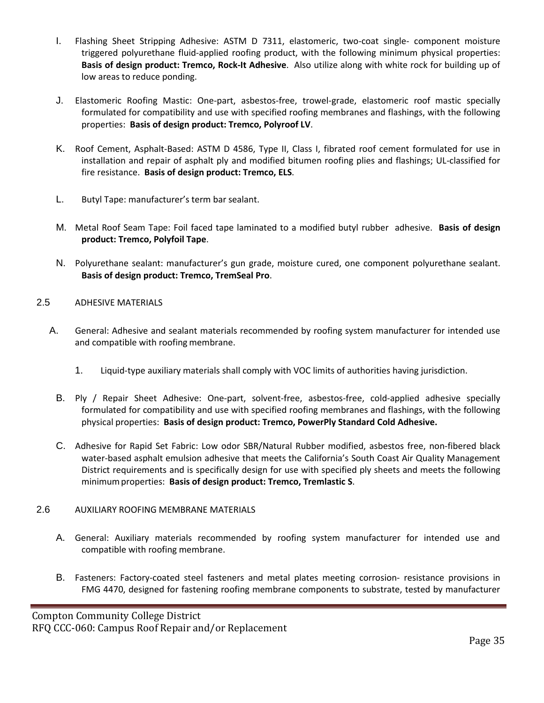- I. Flashing Sheet Stripping Adhesive: ASTM D 7311, elastomeric, two-coat single- component moisture triggered polyurethane fluid-applied roofing product, with the following minimum physical properties: **Basis of design product: Tremco, Rock-It Adhesive**. Also utilize along with white rock for building up of low areas to reduce ponding.
- J. Elastomeric Roofing Mastic: One-part, asbestos-free, trowel-grade, elastomeric roof mastic specially formulated for compatibility and use with specified roofing membranes and flashings, with the following properties: **Basis of design product: Tremco, Polyroof LV**.
- K. Roof Cement, Asphalt-Based: ASTM D 4586, Type II, Class I, fibrated roof cement formulated for use in installation and repair of asphalt ply and modified bitumen roofing plies and flashings; UL-classified for fire resistance. **Basis of design product: Tremco, ELS**.
- L. Butyl Tape: manufacturer's term bar sealant.
- M. Metal Roof Seam Tape: Foil faced tape laminated to a modified butyl rubber adhesive. **Basis of design product: Tremco, Polyfoil Tape**.
- N. Polyurethane sealant: manufacturer's gun grade, moisture cured, one component polyurethane sealant. **Basis of design product: Tremco, TremSeal Pro**.

## 2.5 ADHESIVE MATERIALS

- A. General: Adhesive and sealant materials recommended by roofing system manufacturer for intended use and compatible with roofing membrane.
	- 1. Liquid-type auxiliary materials shall comply with VOC limits of authorities having jurisdiction.
	- B. Ply / Repair Sheet Adhesive: One-part, solvent-free, asbestos-free, cold-applied adhesive specially formulated for compatibility and use with specified roofing membranes and flashings, with the following physical properties: **Basis of design product: Tremco, PowerPly Standard Cold Adhesive.**
	- C. Adhesive for Rapid Set Fabric: Low odor SBR/Natural Rubber modified, asbestos free, non-fibered black water-based asphalt emulsion adhesive that meets the California's South Coast Air Quality Management District requirements and is specifically design for use with specified ply sheets and meets the following minimumproperties: **Basis of design product: Tremco, Tremlastic S**.

## 2.6 AUXILIARY ROOFING MEMBRANE MATERIALS

- A. General: Auxiliary materials recommended by roofing system manufacturer for intended use and compatible with roofing membrane.
- B. Fasteners: Factory-coated steel fasteners and metal plates meeting corrosion- resistance provisions in FMG 4470, designed for fastening roofing membrane components to substrate, tested by manufacturer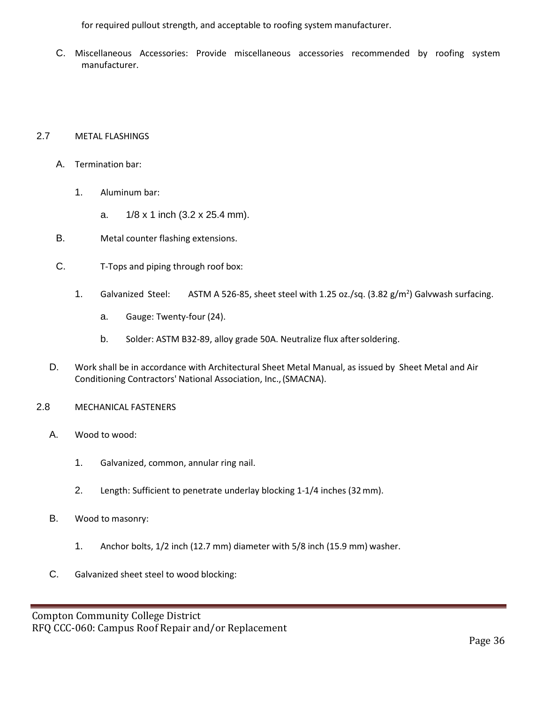for required pullout strength, and acceptable to roofing system manufacturer.

C. Miscellaneous Accessories: Provide miscellaneous accessories recommended by roofing system manufacturer.

## 2.7 METAL FLASHINGS

- A. Termination bar:
	- 1. Aluminum bar:
		- a. 1/8 x 1 inch (3.2 x 25.4 mm).
- B. Metal counter flashing extensions.
- C. T-Tops and piping through roof box:
	- 1. Galvanized Steel: ASTM A 526-85, sheet steel with 1.25 oz./sq. (3.82 g/m<sup>2</sup>) Galvwash surfacing.
		- a. Gauge: Twenty-four (24).
		- b. Solder: ASTM B32-89, alloy grade 50A. Neutralize flux aftersoldering.
- D. Work shall be in accordance with Architectural Sheet Metal Manual, as issued by Sheet Metal and Air Conditioning Contractors' National Association, Inc.,(SMACNA).
- 2.8 MECHANICAL FASTENERS
	- A. Wood to wood:
		- 1. Galvanized, common, annular ring nail.
		- 2. Length: Sufficient to penetrate underlay blocking 1-1/4 inches (32mm).
	- B. Wood to masonry:
		- 1. Anchor bolts, 1/2 inch (12.7 mm) diameter with 5/8 inch (15.9 mm) washer.
	- C. Galvanized sheet steel to wood blocking: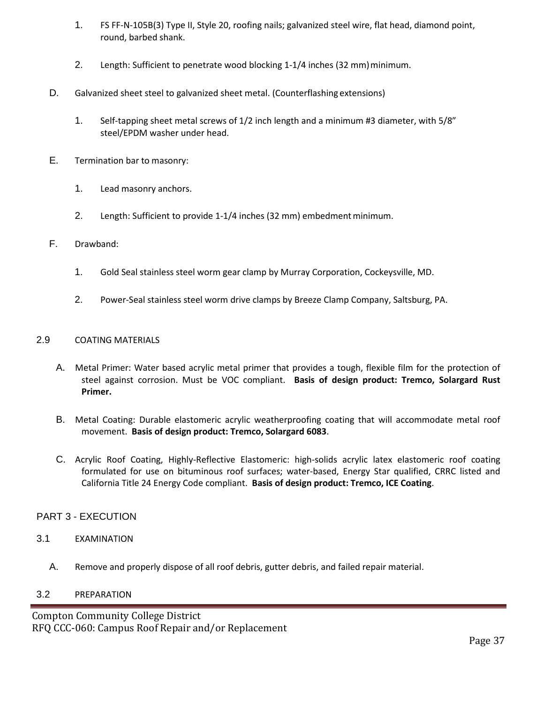- 1. FS FF-N-105B(3) Type II, Style 20, roofing nails; galvanized steel wire, flat head, diamond point, round, barbed shank.
- 2. Length: Sufficient to penetrate wood blocking 1-1/4 inches (32 mm) minimum.
- D. Galvanized sheet steel to galvanized sheet metal. (Counterflashing extensions)
	- 1. Self-tapping sheet metal screws of 1/2 inch length and a minimum #3 diameter, with 5/8" steel/EPDM washer under head.
- E. Termination bar to masonry:
	- 1. Lead masonry anchors.
	- 2. Length: Sufficient to provide 1-1/4 inches (32 mm) embedment minimum.

## F. Drawband:

- 1. Gold Seal stainless steel worm gear clamp by Murray Corporation, Cockeysville, MD.
- 2. Power-Seal stainless steel worm drive clamps by Breeze Clamp Company, Saltsburg, PA.

### 2.9 COATING MATERIALS

- A. Metal Primer: Water based acrylic metal primer that provides a tough, flexible film for the protection of steel against corrosion. Must be VOC compliant. **Basis of design product: Tremco, Solargard Rust Primer.**
- B. Metal Coating: Durable elastomeric acrylic weatherproofing coating that will accommodate metal roof movement. **Basis of design product: Tremco, Solargard 6083**.
- C. Acrylic Roof Coating, Highly-Reflective Elastomeric: high-solids acrylic latex elastomeric roof coating formulated for use on bituminous roof surfaces; water-based, Energy Star qualified, CRRC listed and California Title 24 Energy Code compliant. **Basis of design product: Tremco, ICE Coating**.

## PART 3 - EXECUTION

### 3.1 EXAMINATION

A. Remove and properly dispose of all roof debris, gutter debris, and failed repair material.

### 3.2 PREPARATION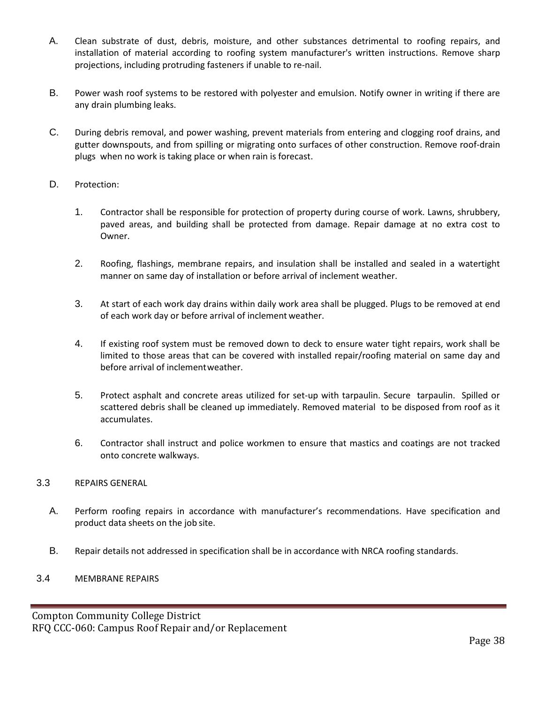- A. Clean substrate of dust, debris, moisture, and other substances detrimental to roofing repairs, and installation of material according to roofing system manufacturer's written instructions. Remove sharp projections, including protruding fasteners if unable to re-nail.
- B. Power wash roof systems to be restored with polyester and emulsion. Notify owner in writing if there are any drain plumbing leaks.
- C. During debris removal, and power washing, prevent materials from entering and clogging roof drains, and gutter downspouts, and from spilling or migrating onto surfaces of other construction. Remove roof-drain plugs when no work is taking place or when rain is forecast.
- D. Protection:
	- 1. Contractor shall be responsible for protection of property during course of work. Lawns, shrubbery, paved areas, and building shall be protected from damage. Repair damage at no extra cost to Owner.
	- 2. Roofing, flashings, membrane repairs, and insulation shall be installed and sealed in a watertight manner on same day of installation or before arrival of inclement weather.
	- 3. At start of each work day drains within daily work area shall be plugged. Plugs to be removed at end of each work day or before arrival of inclement weather.
	- 4. If existing roof system must be removed down to deck to ensure water tight repairs, work shall be limited to those areas that can be covered with installed repair/roofing material on same day and before arrival of inclementweather.
	- 5. Protect asphalt and concrete areas utilized for set-up with tarpaulin. Secure tarpaulin. Spilled or scattered debris shall be cleaned up immediately. Removed material to be disposed from roof as it accumulates.
	- 6. Contractor shall instruct and police workmen to ensure that mastics and coatings are not tracked onto concrete walkways.

### 3.3 REPAIRS GENERAL

- A. Perform roofing repairs in accordance with manufacturer's recommendations. Have specification and product data sheets on the job site.
- B. Repair details not addressed in specification shall be in accordance with NRCA roofing standards.

### 3.4 MEMBRANE REPAIRS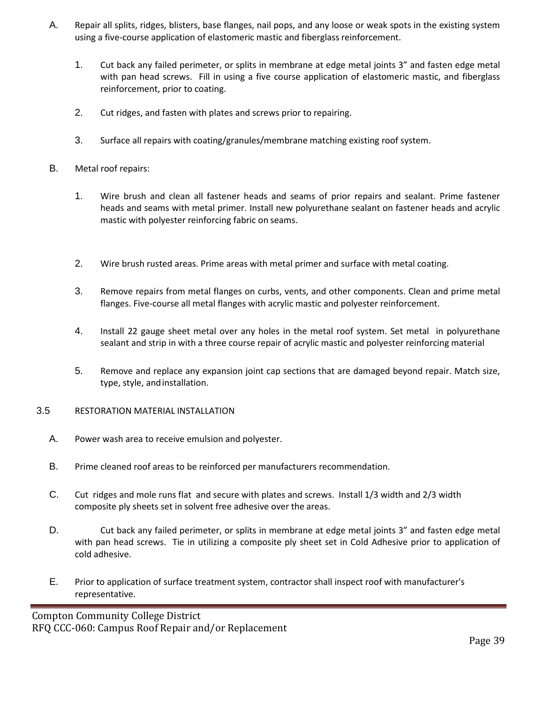- A. Repair all splits, ridges, blisters, base flanges, nail pops, and any loose or weak spots in the existing system using a five-course application of elastomeric mastic and fiberglass reinforcement.
	- 1. Cut back any failed perimeter, or splits in membrane at edge metal joints 3" and fasten edge metal with pan head screws. Fill in using a five course application of elastomeric mastic, and fiberglass reinforcement, prior to coating.
	- 2. Cut ridges, and fasten with plates and screws prior to repairing.
	- 3. Surface all repairs with coating/granules/membrane matching existing roof system.
- B. Metal roof repairs:
	- 1. Wire brush and clean all fastener heads and seams of prior repairs and sealant. Prime fastener heads and seams with metal primer. Install new polyurethane sealant on fastener heads and acrylic mastic with polyester reinforcing fabric on seams.
	- 2. Wire brush rusted areas. Prime areas with metal primer and surface with metal coating.
	- 3. Remove repairs from metal flanges on curbs, vents, and other components. Clean and prime metal flanges. Five-course all metal flanges with acrylic mastic and polyester reinforcement.
	- 4. Install 22 gauge sheet metal over any holes in the metal roof system. Set metal in polyurethane sealant and strip in with a three course repair of acrylic mastic and polyester reinforcing material
	- 5. Remove and replace any expansion joint cap sections that are damaged beyond repair. Match size, type, style, andinstallation.
- 3.5 RESTORATION MATERIAL INSTALLATION
	- A. Power wash area to receive emulsion and polyester.
	- B. Prime cleaned roof areas to be reinforced per manufacturers recommendation.
	- C. Cut ridges and mole runs flat and secure with plates and screws. Install 1/3 width and 2/3 width composite ply sheets set in solvent free adhesive over the areas.
	- D. Cut back any failed perimeter, or splits in membrane at edge metal joints 3" and fasten edge metal with pan head screws. Tie in utilizing a composite ply sheet set in Cold Adhesive prior to application of cold adhesive.
	- E. Prior to application of surface treatment system, contractor shall inspect roof with manufacturer's representative.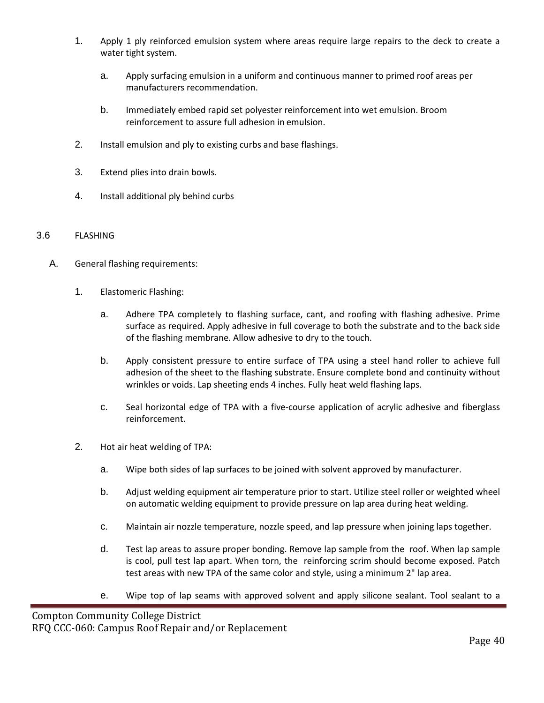- 1. Apply 1 ply reinforced emulsion system where areas require large repairs to the deck to create a water tight system.
	- a. Apply surfacing emulsion in a uniform and continuous manner to primed roof areas per manufacturers recommendation.
	- b. Immediately embed rapid set polyester reinforcement into wet emulsion. Broom reinforcement to assure full adhesion in emulsion.
- 2. Install emulsion and ply to existing curbs and base flashings.
- 3. Extend plies into drain bowls.
- 4. Install additional ply behind curbs

### 3.6 FLASHING

- A. General flashing requirements:
	- 1. Elastomeric Flashing:
		- a. Adhere TPA completely to flashing surface, cant, and roofing with flashing adhesive. Prime surface as required. Apply adhesive in full coverage to both the substrate and to the back side of the flashing membrane. Allow adhesive to dry to the touch.
		- b. Apply consistent pressure to entire surface of TPA using a steel hand roller to achieve full adhesion of the sheet to the flashing substrate. Ensure complete bond and continuity without wrinkles or voids. Lap sheeting ends 4 inches. Fully heat weld flashing laps.
		- c. Seal horizontal edge of TPA with a five-course application of acrylic adhesive and fiberglass reinforcement.
	- 2. Hot air heat welding of TPA:
		- a. Wipe both sides of lap surfaces to be joined with solvent approved by manufacturer.
		- b. Adjust welding equipment air temperature prior to start. Utilize steel roller or weighted wheel on automatic welding equipment to provide pressure on lap area during heat welding.
		- c. Maintain air nozzle temperature, nozzle speed, and lap pressure when joining laps together.
		- d. Test lap areas to assure proper bonding. Remove lap sample from the roof. When lap sample is cool, pull test lap apart. When torn, the reinforcing scrim should become exposed. Patch test areas with new TPA of the same color and style, using a minimum 2" lap area.
		- e. Wipe top of lap seams with approved solvent and apply silicone sealant. Tool sealant to a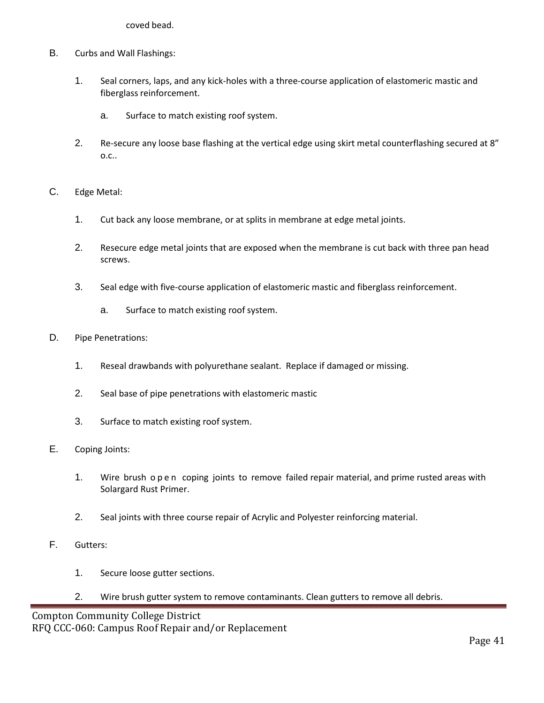coved bead.

- B. Curbs and Wall Flashings:
	- 1. Seal corners, laps, and any kick-holes with a three-course application of elastomeric mastic and fiberglass reinforcement.
		- a. Surface to match existing roof system.
	- 2. Re-secure any loose base flashing at the vertical edge using skirt metal counterflashing secured at 8" o.c..
- C. Edge Metal:
	- 1. Cut back any loose membrane, or at splits in membrane at edge metal joints.
	- 2. Resecure edge metal joints that are exposed when the membrane is cut back with three pan head screws.
	- 3. Seal edge with five-course application of elastomeric mastic and fiberglass reinforcement.
		- a. Surface to match existing roof system.
- D. Pipe Penetrations:
	- 1. Reseal drawbands with polyurethane sealant. Replace if damaged or missing.
	- 2. Seal base of pipe penetrations with elastomeric mastic
	- 3. Surface to match existing roof system.
- E. Coping Joints:
	- 1. Wire brush open coping joints to remove failed repair material, and prime rusted areas with Solargard Rust Primer.
	- 2. Seal joints with three course repair of Acrylic and Polyester reinforcing material.
- F. Gutters:
	- 1. Secure loose gutter sections.
	- 2. Wire brush gutter system to remove contaminants. Clean gutters to remove all debris.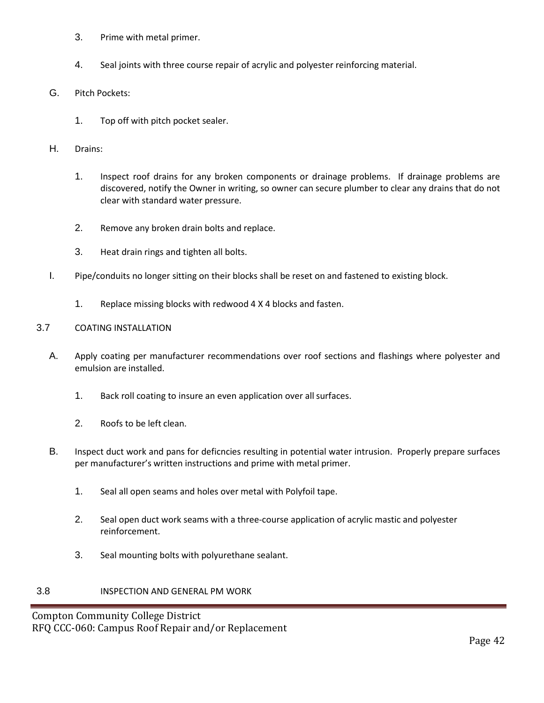- 3. Prime with metal primer.
- 4. Seal joints with three course repair of acrylic and polyester reinforcing material.
- G. Pitch Pockets:
	- 1. Top off with pitch pocket sealer.
- H. Drains:
	- 1. Inspect roof drains for any broken components or drainage problems. If drainage problems are discovered, notify the Owner in writing, so owner can secure plumber to clear any drains that do not clear with standard water pressure.
	- 2. Remove any broken drain bolts and replace.
	- 3. Heat drain rings and tighten all bolts.
- I. Pipe/conduits no longer sitting on their blocks shall be reset on and fastened to existing block.
	- 1. Replace missing blocks with redwood 4 X 4 blocks and fasten.

## 3.7 COATING INSTALLATION

- A. Apply coating per manufacturer recommendations over roof sections and flashings where polyester and emulsion are installed.
	- 1. Back roll coating to insure an even application over all surfaces.
	- 2. Roofs to be left clean.
- B. Inspect duct work and pans for deficncies resulting in potential water intrusion. Properly prepare surfaces per manufacturer's written instructions and prime with metal primer.
	- 1. Seal all open seams and holes over metal with Polyfoil tape.
	- 2. Seal open duct work seams with a three-course application of acrylic mastic and polyester reinforcement.
	- 3. Seal mounting bolts with polyurethane sealant.

## 3.8 INSPECTION AND GENERAL PM WORK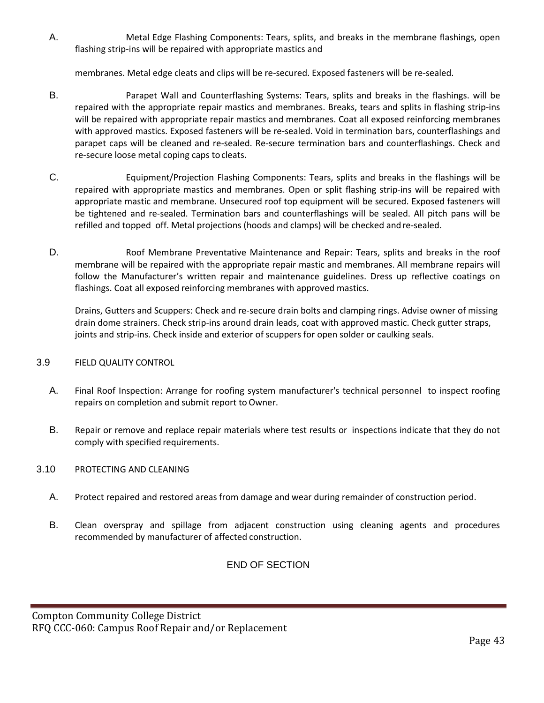A. Metal Edge Flashing Components: Tears, splits, and breaks in the membrane flashings, open flashing strip-ins will be repaired with appropriate mastics and

membranes. Metal edge cleats and clips will be re-secured. Exposed fasteners will be re-sealed.

- B. Parapet Wall and Counterflashing Systems: Tears, splits and breaks in the flashings. will be repaired with the appropriate repair mastics and membranes. Breaks, tears and splits in flashing strip-ins will be repaired with appropriate repair mastics and membranes. Coat all exposed reinforcing membranes with approved mastics. Exposed fasteners will be re-sealed. Void in termination bars, counterflashings and parapet caps will be cleaned and re-sealed. Re-secure termination bars and counterflashings. Check and re-secure loose metal coping caps tocleats.
- C. Equipment/Projection Flashing Components: Tears, splits and breaks in the flashings will be repaired with appropriate mastics and membranes. Open or split flashing strip-ins will be repaired with appropriate mastic and membrane. Unsecured roof top equipment will be secured. Exposed fasteners will be tightened and re-sealed. Termination bars and counterflashings will be sealed. All pitch pans will be refilled and topped off. Metal projections (hoods and clamps) will be checked andre-sealed.
- D. Roof Membrane Preventative Maintenance and Repair: Tears, splits and breaks in the roof membrane will be repaired with the appropriate repair mastic and membranes. All membrane repairs will follow the Manufacturer's written repair and maintenance guidelines. Dress up reflective coatings on flashings. Coat all exposed reinforcing membranes with approved mastics.

Drains, Gutters and Scuppers: Check and re-secure drain bolts and clamping rings. Advise owner of missing drain dome strainers. Check strip-ins around drain leads, coat with approved mastic. Check gutter straps, joints and strip-ins. Check inside and exterior of scuppers for open solder or caulking seals.

## 3.9 FIELD QUALITY CONTROL

- A. Final Roof Inspection: Arrange for roofing system manufacturer's technical personnel to inspect roofing repairs on completion and submit report to Owner.
- B. Repair or remove and replace repair materials where test results or inspections indicate that they do not comply with specified requirements.

## 3.10 PROTECTING AND CLEANING

- A. Protect repaired and restored areas from damage and wear during remainder of construction period.
- B. Clean overspray and spillage from adjacent construction using cleaning agents and procedures recommended by manufacturer of affected construction.

END OF SECTION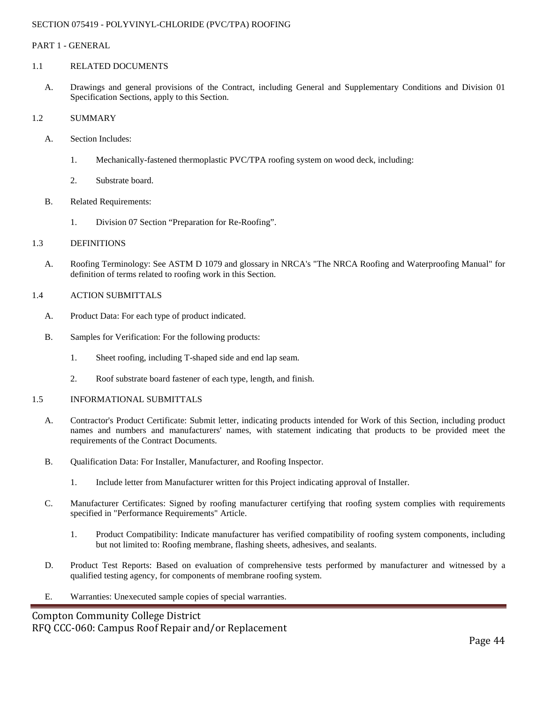#### SECTION 075419 - POLYVINYL-CHLORIDE (PVC/TPA) ROOFING

#### PART 1 - GENERAL

#### 1.1 RELATED DOCUMENTS

A. Drawings and general provisions of the Contract, including General and Supplementary Conditions and Division 01 Specification Sections, apply to this Section.

#### 1.2 SUMMARY

- A. Section Includes:
	- 1. Mechanically-fastened thermoplastic PVC/TPA roofing system on wood deck, including:
	- 2. Substrate board.
- B. Related Requirements:
	- 1. Division 07 Section "Preparation for Re-Roofing".

#### 1.3 DEFINITIONS

A. Roofing Terminology: See ASTM D 1079 and glossary in NRCA's "The NRCA Roofing and Waterproofing Manual" for definition of terms related to roofing work in this Section.

#### 1.4 ACTION SUBMITTALS

- A. Product Data: For each type of product indicated.
- B. Samples for Verification: For the following products:
	- 1. Sheet roofing, including T-shaped side and end lap seam.
	- 2. Roof substrate board fastener of each type, length, and finish.

#### 1.5 INFORMATIONAL SUBMITTALS

- A. Contractor's Product Certificate: Submit letter, indicating products intended for Work of this Section, including product names and numbers and manufacturers' names, with statement indicating that products to be provided meet the requirements of the Contract Documents.
- B. Qualification Data: For Installer, Manufacturer, and Roofing Inspector.
	- 1. Include letter from Manufacturer written for this Project indicating approval of Installer.
- C. Manufacturer Certificates: Signed by roofing manufacturer certifying that roofing system complies with requirements specified in "Performance Requirements" Article.
	- 1. Product Compatibility: Indicate manufacturer has verified compatibility of roofing system components, including but not limited to: Roofing membrane, flashing sheets, adhesives, and sealants.
- D. Product Test Reports: Based on evaluation of comprehensive tests performed by manufacturer and witnessed by a qualified testing agency, for components of membrane roofing system.
- E. Warranties: Unexecuted sample copies of special warranties.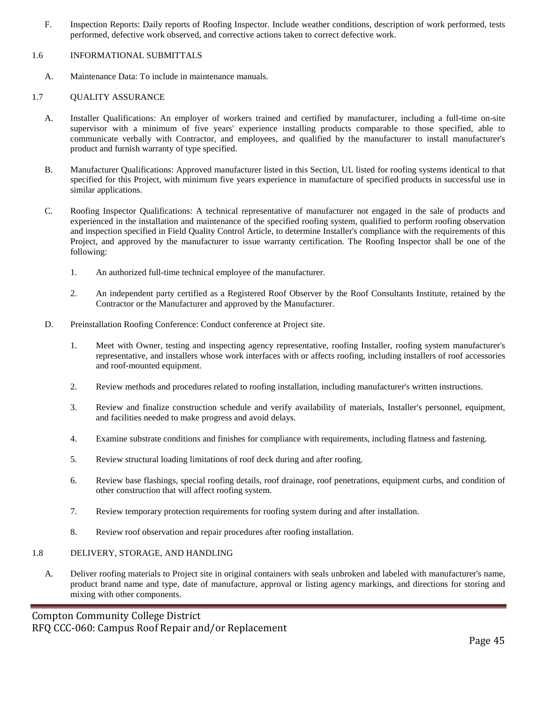F. Inspection Reports: Daily reports of Roofing Inspector. Include weather conditions, description of work performed, tests performed, defective work observed, and corrective actions taken to correct defective work.

#### 1.6 INFORMATIONAL SUBMITTALS

A. Maintenance Data: To include in maintenance manuals.

#### 1.7 QUALITY ASSURANCE

- A. Installer Qualifications: An employer of workers trained and certified by manufacturer, including a full-time on-site supervisor with a minimum of five years' experience installing products comparable to those specified, able to communicate verbally with Contractor, and employees, and qualified by the manufacturer to install manufacturer's product and furnish warranty of type specified.
- B. Manufacturer Qualifications: Approved manufacturer listed in this Section, UL listed for roofing systems identical to that specified for this Project, with minimum five years experience in manufacture of specified products in successful use in similar applications.
- C. Roofing Inspector Qualifications: A technical representative of manufacturer not engaged in the sale of products and experienced in the installation and maintenance of the specified roofing system, qualified to perform roofing observation and inspection specified in Field Quality Control Article, to determine Installer's compliance with the requirements of this Project, and approved by the manufacturer to issue warranty certification. The Roofing Inspector shall be one of the following:
	- 1. An authorized full-time technical employee of the manufacturer.
	- 2. An independent party certified as a Registered Roof Observer by the Roof Consultants Institute, retained by the Contractor or the Manufacturer and approved by the Manufacturer.
- D. Preinstallation Roofing Conference: Conduct conference at Project site.
	- 1. Meet with Owner, testing and inspecting agency representative, roofing Installer, roofing system manufacturer's representative, and installers whose work interfaces with or affects roofing, including installers of roof accessories and roof-mounted equipment.
	- 2. Review methods and procedures related to roofing installation, including manufacturer's written instructions.
	- 3. Review and finalize construction schedule and verify availability of materials, Installer's personnel, equipment, and facilities needed to make progress and avoid delays.
	- 4. Examine substrate conditions and finishes for compliance with requirements, including flatness and fastening.
	- 5. Review structural loading limitations of roof deck during and after roofing.
	- 6. Review base flashings, special roofing details, roof drainage, roof penetrations, equipment curbs, and condition of other construction that will affect roofing system.
	- 7. Review temporary protection requirements for roofing system during and after installation.
	- 8. Review roof observation and repair procedures after roofing installation.

#### 1.8 DELIVERY, STORAGE, AND HANDLING

A. Deliver roofing materials to Project site in original containers with seals unbroken and labeled with manufacturer's name, product brand name and type, date of manufacture, approval or listing agency markings, and directions for storing and mixing with other components.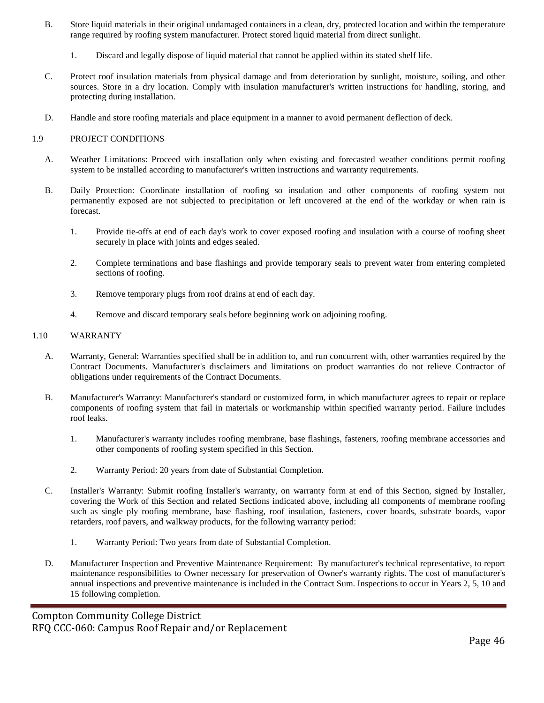- B. Store liquid materials in their original undamaged containers in a clean, dry, protected location and within the temperature range required by roofing system manufacturer. Protect stored liquid material from direct sunlight.
	- 1. Discard and legally dispose of liquid material that cannot be applied within its stated shelf life.
- C. Protect roof insulation materials from physical damage and from deterioration by sunlight, moisture, soiling, and other sources. Store in a dry location. Comply with insulation manufacturer's written instructions for handling, storing, and protecting during installation.
- D. Handle and store roofing materials and place equipment in a manner to avoid permanent deflection of deck.

#### 1.9 PROJECT CONDITIONS

- A. Weather Limitations: Proceed with installation only when existing and forecasted weather conditions permit roofing system to be installed according to manufacturer's written instructions and warranty requirements.
- B. Daily Protection: Coordinate installation of roofing so insulation and other components of roofing system not permanently exposed are not subjected to precipitation or left uncovered at the end of the workday or when rain is forecast.
	- 1. Provide tie-offs at end of each day's work to cover exposed roofing and insulation with a course of roofing sheet securely in place with joints and edges sealed.
	- 2. Complete terminations and base flashings and provide temporary seals to prevent water from entering completed sections of roofing.
	- 3. Remove temporary plugs from roof drains at end of each day.
	- 4. Remove and discard temporary seals before beginning work on adjoining roofing.

#### 1.10 WARRANTY

- A. Warranty, General: Warranties specified shall be in addition to, and run concurrent with, other warranties required by the Contract Documents. Manufacturer's disclaimers and limitations on product warranties do not relieve Contractor of obligations under requirements of the Contract Documents.
- B. Manufacturer's Warranty: Manufacturer's standard or customized form, in which manufacturer agrees to repair or replace components of roofing system that fail in materials or workmanship within specified warranty period. Failure includes roof leaks.
	- 1. Manufacturer's warranty includes roofing membrane, base flashings, fasteners, roofing membrane accessories and other components of roofing system specified in this Section.
	- 2. Warranty Period: 20 years from date of Substantial Completion.
- C. Installer's Warranty: Submit roofing Installer's warranty, on warranty form at end of this Section, signed by Installer, covering the Work of this Section and related Sections indicated above, including all components of membrane roofing such as single ply roofing membrane, base flashing, roof insulation, fasteners, cover boards, substrate boards, vapor retarders, roof pavers, and walkway products, for the following warranty period:
	- 1. Warranty Period: Two years from date of Substantial Completion.
- D. Manufacturer Inspection and Preventive Maintenance Requirement: By manufacturer's technical representative, to report maintenance responsibilities to Owner necessary for preservation of Owner's warranty rights. The cost of manufacturer's annual inspections and preventive maintenance is included in the Contract Sum. Inspections to occur in Years 2, 5, 10 and 15 following completion.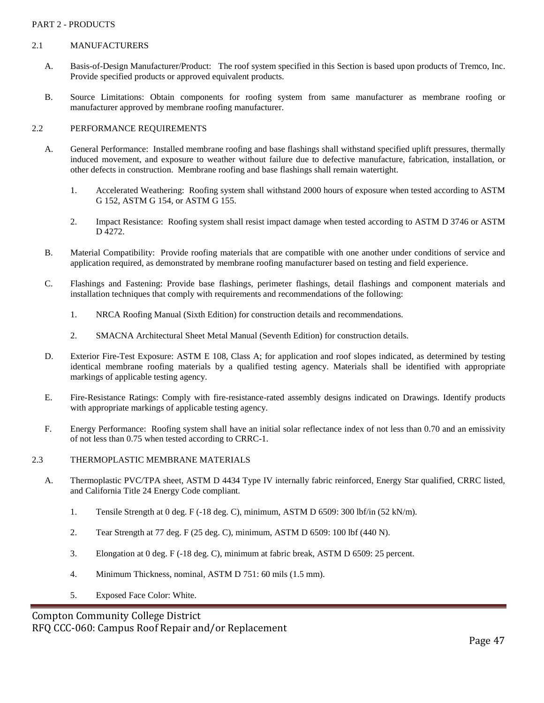#### PART 2 - PRODUCTS

#### 2.1 MANUFACTURERS

- A. Basis-of-Design Manufacturer/Product: The roof system specified in this Section is based upon products of Tremco, Inc. Provide specified products or approved equivalent products.
- B. Source Limitations: Obtain components for roofing system from same manufacturer as membrane roofing or manufacturer approved by membrane roofing manufacturer.

#### 2.2 PERFORMANCE REQUIREMENTS

- A. General Performance: Installed membrane roofing and base flashings shall withstand specified uplift pressures, thermally induced movement, and exposure to weather without failure due to defective manufacture, fabrication, installation, or other defects in construction. Membrane roofing and base flashings shall remain watertight.
	- 1. Accelerated Weathering: Roofing system shall withstand 2000 hours of exposure when tested according to ASTM G 152, ASTM G 154, or ASTM G 155.
	- 2. Impact Resistance: Roofing system shall resist impact damage when tested according to ASTM D 3746 or ASTM D 4272.
- B. Material Compatibility: Provide roofing materials that are compatible with one another under conditions of service and application required, as demonstrated by membrane roofing manufacturer based on testing and field experience.
- C. Flashings and Fastening: Provide base flashings, perimeter flashings, detail flashings and component materials and installation techniques that comply with requirements and recommendations of the following:
	- 1. NRCA Roofing Manual (Sixth Edition) for construction details and recommendations.
	- 2. SMACNA Architectural Sheet Metal Manual (Seventh Edition) for construction details.
- D. Exterior Fire-Test Exposure: ASTM E 108, Class A; for application and roof slopes indicated, as determined by testing identical membrane roofing materials by a qualified testing agency. Materials shall be identified with appropriate markings of applicable testing agency.
- E. Fire-Resistance Ratings: Comply with fire-resistance-rated assembly designs indicated on Drawings. Identify products with appropriate markings of applicable testing agency.
- F. Energy Performance: Roofing system shall have an initial solar reflectance index of not less than 0.70 and an emissivity of not less than 0.75 when tested according to CRRC-1.
- 2.3 THERMOPLASTIC MEMBRANE MATERIALS
	- A. Thermoplastic PVC/TPA sheet, ASTM D 4434 Type IV internally fabric reinforced, Energy Star qualified, CRRC listed, and California Title 24 Energy Code compliant.
		- 1. Tensile Strength at 0 deg. F (-18 deg. C), minimum, ASTM D 6509: 300 lbf/in (52 kN/m).
		- 2. Tear Strength at 77 deg. F (25 deg. C), minimum, ASTM D 6509: 100 lbf (440 N).
		- 3. Elongation at 0 deg. F (-18 deg. C), minimum at fabric break, ASTM D 6509: 25 percent.
		- 4. Minimum Thickness, nominal, ASTM D 751: 60 mils (1.5 mm).
		- 5. Exposed Face Color: White.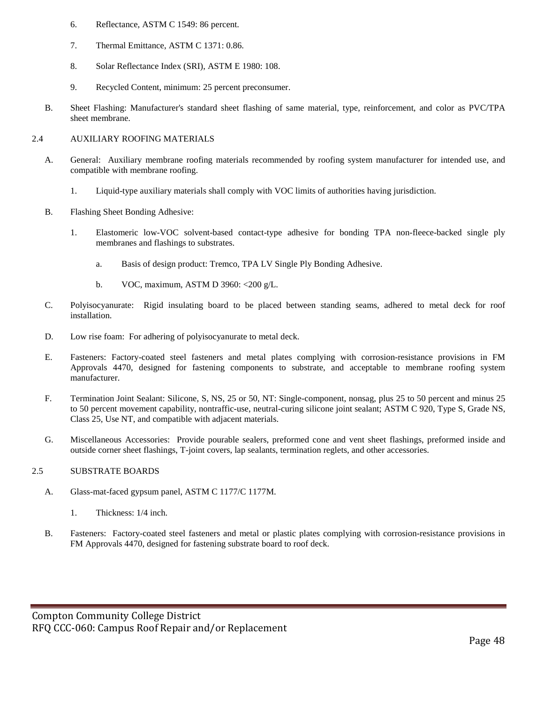- 6. Reflectance, ASTM C 1549: 86 percent.
- 7. Thermal Emittance, ASTM C 1371: 0.86.
- 8. Solar Reflectance Index (SRI), ASTM E 1980: 108.
- 9. Recycled Content, minimum: 25 percent preconsumer.
- B. Sheet Flashing: Manufacturer's standard sheet flashing of same material, type, reinforcement, and color as PVC/TPA sheet membrane.

#### 2.4 AUXILIARY ROOFING MATERIALS

- A. General: Auxiliary membrane roofing materials recommended by roofing system manufacturer for intended use, and compatible with membrane roofing.
	- 1. Liquid-type auxiliary materials shall comply with VOC limits of authorities having jurisdiction.
- B. Flashing Sheet Bonding Adhesive:
	- 1. Elastomeric low-VOC solvent-based contact-type adhesive for bonding TPA non-fleece-backed single ply membranes and flashings to substrates.
		- a. Basis of design product: Tremco, TPA LV Single Ply Bonding Adhesive.
		- b. VOC, maximum, ASTM D 3960: <200 g/L.
- C. Polyisocyanurate: Rigid insulating board to be placed between standing seams, adhered to metal deck for roof installation.
- D. Low rise foam: For adhering of polyisocyanurate to metal deck.
- E. Fasteners: Factory-coated steel fasteners and metal plates complying with corrosion-resistance provisions in FM Approvals 4470, designed for fastening components to substrate, and acceptable to membrane roofing system manufacturer.
- F. Termination Joint Sealant: Silicone, S, NS, 25 or 50, NT: Single-component, nonsag, plus 25 to 50 percent and minus 25 to 50 percent movement capability, nontraffic-use, neutral-curing silicone joint sealant; ASTM C 920, Type S, Grade NS, Class 25, Use NT, and compatible with adjacent materials.
- G. Miscellaneous Accessories: Provide pourable sealers, preformed cone and vent sheet flashings, preformed inside and outside corner sheet flashings, T-joint covers, lap sealants, termination reglets, and other accessories.

#### 2.5 SUBSTRATE BOARDS

- A. Glass-mat-faced gypsum panel, ASTM C 1177/C 1177M.
	- 1. Thickness: 1/4 inch.
- B. Fasteners: Factory-coated steel fasteners and metal or plastic plates complying with corrosion-resistance provisions in FM Approvals 4470, designed for fastening substrate board to roof deck.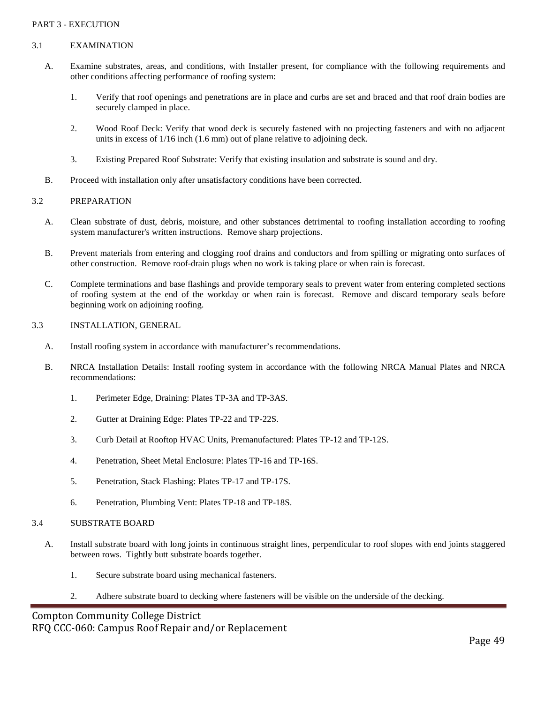#### PART 3 - EXECUTION

#### 3.1 EXAMINATION

- A. Examine substrates, areas, and conditions, with Installer present, for compliance with the following requirements and other conditions affecting performance of roofing system:
	- 1. Verify that roof openings and penetrations are in place and curbs are set and braced and that roof drain bodies are securely clamped in place.
	- 2. Wood Roof Deck: Verify that wood deck is securely fastened with no projecting fasteners and with no adjacent units in excess of 1/16 inch (1.6 mm) out of plane relative to adjoining deck.
	- 3. Existing Prepared Roof Substrate: Verify that existing insulation and substrate is sound and dry.
- B. Proceed with installation only after unsatisfactory conditions have been corrected.

#### 3.2 PREPARATION

- A. Clean substrate of dust, debris, moisture, and other substances detrimental to roofing installation according to roofing system manufacturer's written instructions. Remove sharp projections.
- B. Prevent materials from entering and clogging roof drains and conductors and from spilling or migrating onto surfaces of other construction. Remove roof-drain plugs when no work is taking place or when rain is forecast.
- C. Complete terminations and base flashings and provide temporary seals to prevent water from entering completed sections of roofing system at the end of the workday or when rain is forecast. Remove and discard temporary seals before beginning work on adjoining roofing.

#### 3.3 INSTALLATION, GENERAL

- A. Install roofing system in accordance with manufacturer's recommendations.
- B. NRCA Installation Details: Install roofing system in accordance with the following NRCA Manual Plates and NRCA recommendations:
	- 1. Perimeter Edge, Draining: Plates TP-3A and TP-3AS.
	- 2. Gutter at Draining Edge: Plates TP-22 and TP-22S.
	- 3. Curb Detail at Rooftop HVAC Units, Premanufactured: Plates TP-12 and TP-12S.
	- 4. Penetration, Sheet Metal Enclosure: Plates TP-16 and TP-16S.
	- 5. Penetration, Stack Flashing: Plates TP-17 and TP-17S.
	- 6. Penetration, Plumbing Vent: Plates TP-18 and TP-18S.

#### 3.4 SUBSTRATE BOARD

- A. Install substrate board with long joints in continuous straight lines, perpendicular to roof slopes with end joints staggered between rows. Tightly butt substrate boards together.
	- 1. Secure substrate board using mechanical fasteners.
	- 2. Adhere substrate board to decking where fasteners will be visible on the underside of the decking.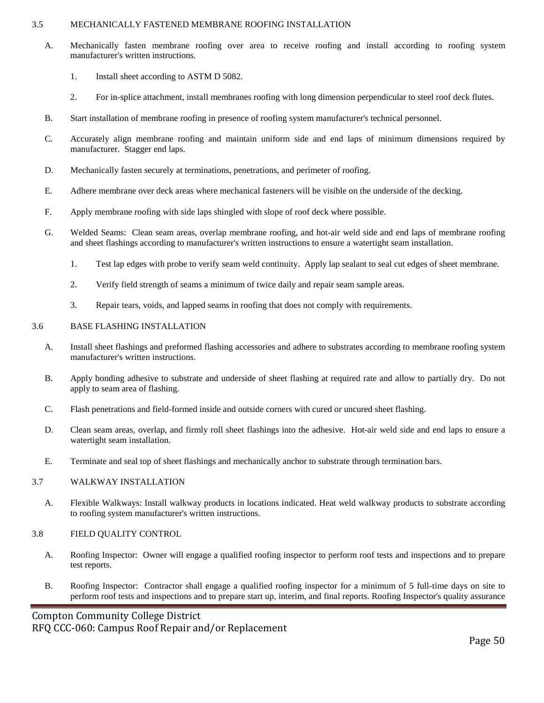#### 3.5 MECHANICALLY FASTENED MEMBRANE ROOFING INSTALLATION

- A. Mechanically fasten membrane roofing over area to receive roofing and install according to roofing system manufacturer's written instructions.
	- 1. Install sheet according to ASTM D 5082.
	- 2. For in-splice attachment, install membranes roofing with long dimension perpendicular to steel roof deck flutes.
- B. Start installation of membrane roofing in presence of roofing system manufacturer's technical personnel.
- C. Accurately align membrane roofing and maintain uniform side and end laps of minimum dimensions required by manufacturer. Stagger end laps.
- D. Mechanically fasten securely at terminations, penetrations, and perimeter of roofing.
- E. Adhere membrane over deck areas where mechanical fasteners will be visible on the underside of the decking.
- F. Apply membrane roofing with side laps shingled with slope of roof deck where possible.
- G. Welded Seams: Clean seam areas, overlap membrane roofing, and hot-air weld side and end laps of membrane roofing and sheet flashings according to manufacturer's written instructions to ensure a watertight seam installation.
	- 1. Test lap edges with probe to verify seam weld continuity. Apply lap sealant to seal cut edges of sheet membrane.
	- 2. Verify field strength of seams a minimum of twice daily and repair seam sample areas.
	- 3. Repair tears, voids, and lapped seams in roofing that does not comply with requirements.

#### 3.6 BASE FLASHING INSTALLATION

- A. Install sheet flashings and preformed flashing accessories and adhere to substrates according to membrane roofing system manufacturer's written instructions.
- B. Apply bonding adhesive to substrate and underside of sheet flashing at required rate and allow to partially dry. Do not apply to seam area of flashing.
- C. Flash penetrations and field-formed inside and outside corners with cured or uncured sheet flashing.
- D. Clean seam areas, overlap, and firmly roll sheet flashings into the adhesive. Hot-air weld side and end laps to ensure a watertight seam installation.
- E. Terminate and seal top of sheet flashings and mechanically anchor to substrate through termination bars.

#### 3.7 WALKWAY INSTALLATION

A. Flexible Walkways: Install walkway products in locations indicated. Heat weld walkway products to substrate according to roofing system manufacturer's written instructions.

#### 3.8 FIELD QUALITY CONTROL

- A. Roofing Inspector: Owner will engage a qualified roofing inspector to perform roof tests and inspections and to prepare test reports.
- B. Roofing Inspector: Contractor shall engage a qualified roofing inspector for a minimum of 5 full-time days on site to perform roof tests and inspections and to prepare start up, interim, and final reports. Roofing Inspector's quality assurance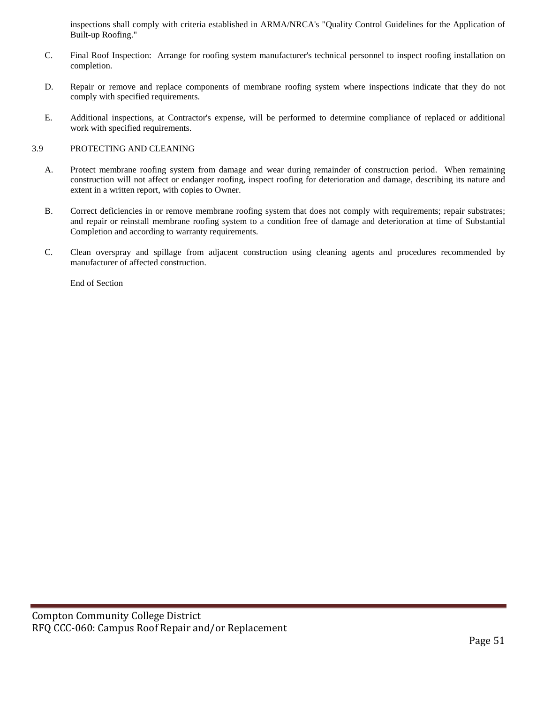inspections shall comply with criteria established in ARMA/NRCA's "Quality Control Guidelines for the Application of Built-up Roofing."

- C. Final Roof Inspection: Arrange for roofing system manufacturer's technical personnel to inspect roofing installation on completion.
- D. Repair or remove and replace components of membrane roofing system where inspections indicate that they do not comply with specified requirements.
- E. Additional inspections, at Contractor's expense, will be performed to determine compliance of replaced or additional work with specified requirements.

#### 3.9 PROTECTING AND CLEANING

- A. Protect membrane roofing system from damage and wear during remainder of construction period. When remaining construction will not affect or endanger roofing, inspect roofing for deterioration and damage, describing its nature and extent in a written report, with copies to Owner.
- B. Correct deficiencies in or remove membrane roofing system that does not comply with requirements; repair substrates; and repair or reinstall membrane roofing system to a condition free of damage and deterioration at time of Substantial Completion and according to warranty requirements.
- C. Clean overspray and spillage from adjacent construction using cleaning agents and procedures recommended by manufacturer of affected construction.

End of Section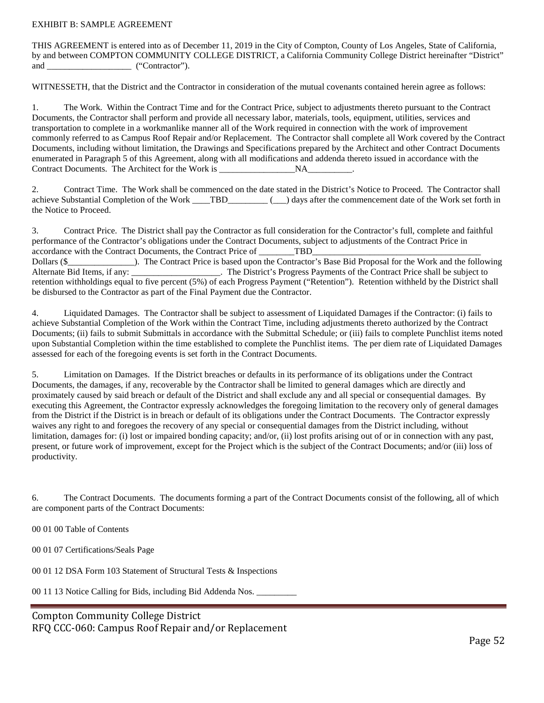#### EXHIBIT B: SAMPLE AGREEMENT

THIS AGREEMENT is entered into as of December 11, 2019 in the City of Compton, County of Los Angeles, State of California, by and between COMPTON COMMUNITY COLLEGE DISTRICT, a California Community College District hereinafter "District" and \_\_\_\_\_\_\_\_\_\_\_\_\_\_\_\_\_\_\_\_\_\_ ("Contractor").

WITNESSETH, that the District and the Contractor in consideration of the mutual covenants contained herein agree as follows:

1. The Work. Within the Contract Time and for the Contract Price, subject to adjustments thereto pursuant to the Contract Documents, the Contractor shall perform and provide all necessary labor, materials, tools, equipment, utilities, services and transportation to complete in a workmanlike manner all of the Work required in connection with the work of improvement commonly referred to as Campus Roof Repair and/or Replacement. The Contractor shall complete all Work covered by the Contract Documents, including without limitation, the Drawings and Specifications prepared by the Architect and other Contract Documents enumerated in Paragraph 5 of this Agreement, along with all modifications and addenda thereto issued in accordance with the Contract Documents. The Architect for the Work is NA

2. Contract Time. The Work shall be commenced on the date stated in the District's Notice to Proceed. The Contractor shall achieve Substantial Completion of the Work \_\_\_\_TBD\_\_\_\_\_\_\_\_\_ (\_\_\_) days after the commencement date of the Work set forth in the Notice to Proceed.

3. Contract Price. The District shall pay the Contractor as full consideration for the Contractor's full, complete and faithful performance of the Contractor's obligations under the Contract Documents, subject to adjustments of the Contract Price in accordance with the Contract Documents, the Contract Price of TBD Dollars (\$ The Contract Price is based upon the Contractor's Base Bid Proposal for the Work and the following Alternate Bid Items, if any: \_\_\_\_\_\_\_\_\_\_\_\_\_\_\_\_\_\_\_. The District's Progress Payments of the Contract Price shall be subject to retention withholdings equal to five percent (5%) of each Progress Payment ("Retention"). Retention withheld by the District shall be disbursed to the Contractor as part of the Final Payment due the Contractor.

4. Liquidated Damages. The Contractor shall be subject to assessment of Liquidated Damages if the Contractor: (i) fails to achieve Substantial Completion of the Work within the Contract Time, including adjustments thereto authorized by the Contract Documents; (ii) fails to submit Submittals in accordance with the Submittal Schedule; or (iii) fails to complete Punchlist items noted upon Substantial Completion within the time established to complete the Punchlist items. The per diem rate of Liquidated Damages assessed for each of the foregoing events is set forth in the Contract Documents.

5. Limitation on Damages. If the District breaches or defaults in its performance of its obligations under the Contract Documents, the damages, if any, recoverable by the Contractor shall be limited to general damages which are directly and proximately caused by said breach or default of the District and shall exclude any and all special or consequential damages. By executing this Agreement, the Contractor expressly acknowledges the foregoing limitation to the recovery only of general damages from the District if the District is in breach or default of its obligations under the Contract Documents. The Contractor expressly waives any right to and foregoes the recovery of any special or consequential damages from the District including, without limitation, damages for: (i) lost or impaired bonding capacity; and/or, (ii) lost profits arising out of or in connection with any past, present, or future work of improvement, except for the Project which is the subject of the Contract Documents; and/or (iii) loss of productivity.

6. The Contract Documents. The documents forming a part of the Contract Documents consist of the following, all of which are component parts of the Contract Documents:

00 01 00 Table of Contents

00 01 07 Certifications/Seals Page

00 01 12 DSA Form 103 Statement of Structural Tests & Inspections

00 11 13 Notice Calling for Bids, including Bid Addenda Nos. \_\_\_\_\_\_\_\_\_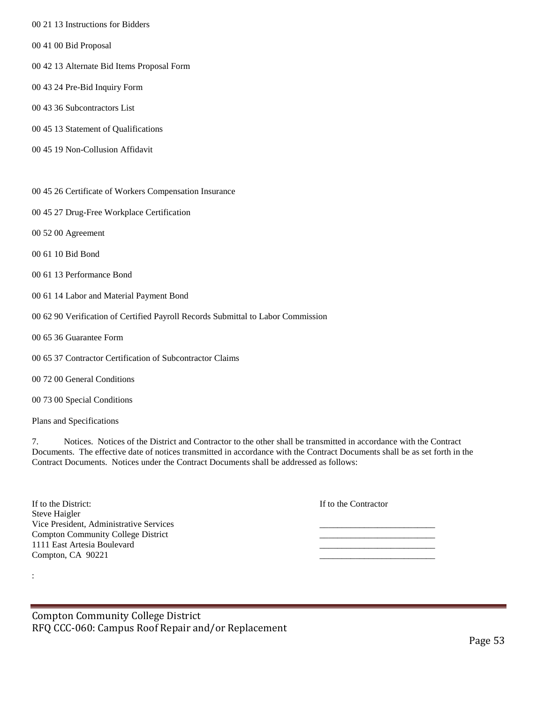- 00 21 13 Instructions for Bidders
- 00 41 00 Bid Proposal
- 00 42 13 Alternate Bid Items Proposal Form
- 00 43 24 Pre-Bid Inquiry Form
- 00 43 36 Subcontractors List
- 00 45 13 Statement of Qualifications
- 00 45 19 Non-Collusion Affidavit
- 00 45 26 Certificate of Workers Compensation Insurance
- 00 45 27 Drug-Free Workplace Certification
- 00 52 00 Agreement
- 00 61 10 Bid Bond
- 00 61 13 Performance Bond
- 00 61 14 Labor and Material Payment Bond
- 00 62 90 Verification of Certified Payroll Records Submittal to Labor Commission
- 00 65 36 Guarantee Form
- 00 65 37 Contractor Certification of Subcontractor Claims
- 00 72 00 General Conditions
- 00 73 00 Special Conditions

Plans and Specifications

:

7. Notices. Notices of the District and Contractor to the other shall be transmitted in accordance with the Contract Documents. The effective date of notices transmitted in accordance with the Contract Documents shall be as set forth in the Contract Documents. Notices under the Contract Documents shall be addressed as follows:

| If to the District:                       | If to the Contractor |
|-------------------------------------------|----------------------|
| Steve Haigler                             |                      |
| Vice President, Administrative Services   |                      |
| <b>Compton Community College District</b> |                      |
| 1111 East Artesia Boulevard               |                      |
| Compton, CA 90221                         |                      |
|                                           |                      |